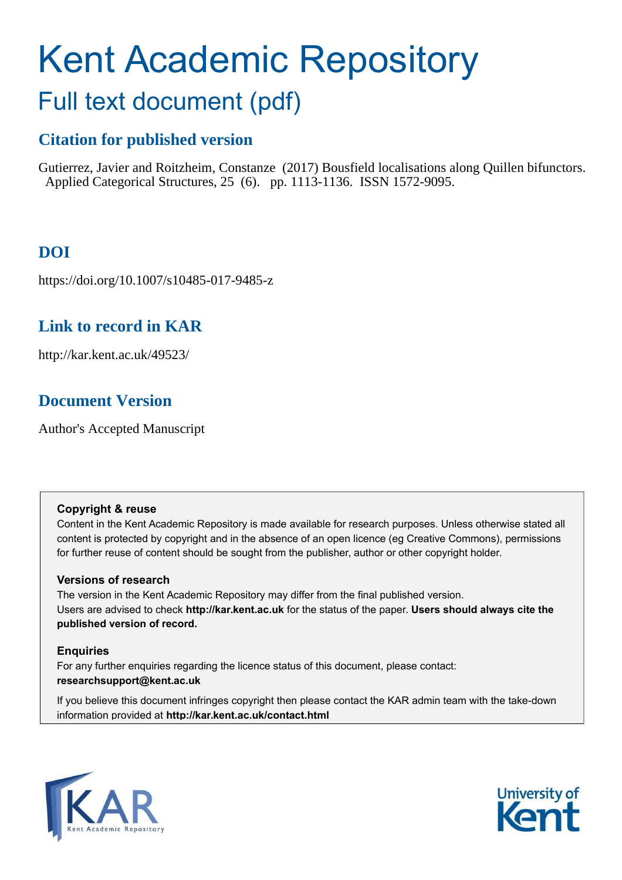# Kent Academic Repository

# Full text document (pdf)

# **Citation for published version**

Gutierrez, Javier and Roitzheim, Constanze (2017) Bousfield localisations along Quillen bifunctors. Applied Categorical Structures, 25 (6). pp. 1113-1136. ISSN 1572-9095.

# **DOI**

https://doi.org/10.1007/s10485-017-9485-z

## **Link to record in KAR**

http://kar.kent.ac.uk/49523/

## **Document Version**

Author's Accepted Manuscript

## **Copyright & reuse**

Content in the Kent Academic Repository is made available for research purposes. Unless otherwise stated all content is protected by copyright and in the absence of an open licence (eg Creative Commons), permissions for further reuse of content should be sought from the publisher, author or other copyright holder.

## **Versions of research**

The version in the Kent Academic Repository may differ from the final published version. Users are advised to check **http://kar.kent.ac.uk** for the status of the paper. **Users should always cite the published version of record.**

## **Enquiries**

For any further enquiries regarding the licence status of this document, please contact: **researchsupport@kent.ac.uk**

If you believe this document infringes copyright then please contact the KAR admin team with the take-down information provided at **http://kar.kent.ac.uk/contact.html**



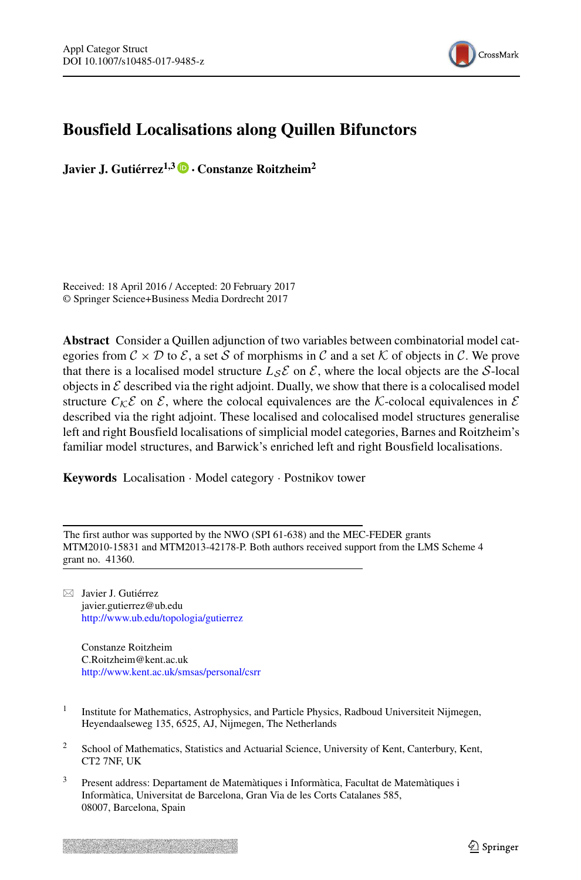

## <span id="page-1-0"></span>**Bousfield Localisations along Quillen Bifunctors**

**Javier J. Gutierrez ´ 1,3** · **Constanze Roitzheim<sup>2</sup>**

Received: 18 April 2016 / Accepted: 20 February 2017 © Springer Science+Business Media Dordrecht 2017

**Abstract** Consider a Quillen adjunction of two variables between combinatorial model categories from  $C \times D$  to  $\mathcal{E}$ , a set S of morphisms in C and a set K of objects in C. We prove that there is a localised model structure  $L_S \mathcal{E}$  on  $\mathcal{E}$ , where the local objects are the S-local objects in  $\mathcal E$  described via the right adjoint. Dually, we show that there is a colocalised model structure  $C_{\mathcal{K}}\mathcal{E}$  on  $\mathcal{E}$ , where the colocal equivalences are the K-colocal equivalences in  $\mathcal{E}$ described via the right adjoint. These localised and colocalised model structures generalise left and right Bousfield localisations of simplicial model categories, Barnes and Roitzheim's familiar model structures, and Barwick's enriched left and right Bousfield localisations.

**Keywords** Localisation · Model category · Postnikov tower

The first author was supported by the NWO (SPI 61-638) and the MEC-FEDER grants MTM2010-15831 and MTM2013-42178-P. Both authors received support from the LMS Scheme 4 grant no. 41360.

 $\boxtimes$  Javier J. Gutiérrez javier.gutierrez@ub.edu <http://www.ub.edu/topologia/gutierrez>

Constanze Roitzheim C.Roitzheim@kent.ac.uk <http://www.kent.ac.uk/smsas/personal/csrr>

- 1 Institute for Mathematics, Astrophysics, and Particle Physics, Radboud Universiteit Nijmegen, Heyendaalseweg 135, 6525, AJ, Nijmegen, The Netherlands
- <sup>2</sup> School of Mathematics, Statistics and Actuarial Science, University of Kent, Canterbury, Kent, CT2 7NF, UK
- Present address: Departament de Matemàtiques i Informàtica, Facultat de Matemàtiques i Informatica, Universitat de Barcelona, Gran Via de les Corts Catalanes 585, ` 08007, Barcelona, Spain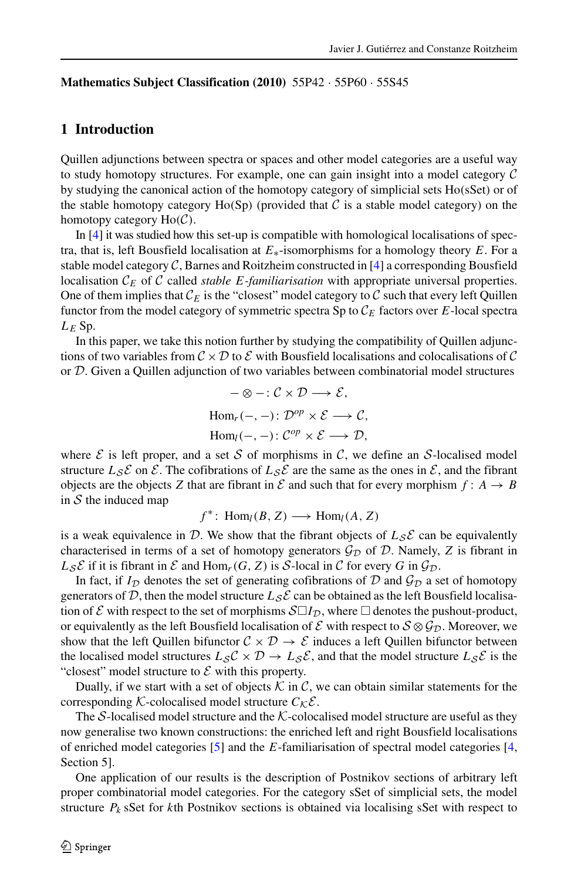#### **Mathematics Subject Classification (2010)** 55P42 · 55P60 · 55S45

#### **1 Introduction**

Quillen adjunctions between spectra or spaces and other model categories are a useful way to study homotopy structures. For example, one can gain insight into a model category  $\mathcal C$ by studying the canonical action of the homotopy category of simplicial sets Ho(sSet) or of the stable homotopy category  $Ho(Sp)$  (provided that C is a stable model category) on the homotopy category  $Ho(\mathcal{C})$ .

In [\[4\]](#page-22-0) it was studied how this set-up is compatible with homological localisations of spectra, that is, left Bousfield localisation at  $E_*$ -isomorphisms for a homology theory E. For a stable model category  $C$ , Barnes and Roitzheim constructed in [\[4\]](#page-22-0) a corresponding Bousfield localisation  $\mathcal{C}_E$  of  $\mathcal C$  called *stable E-familiarisation* with appropriate universal properties. One of them implies that  $\mathcal{C}_E$  is the "closest" model category to  $\overline{\mathcal{C}}$  such that every left Quillen functor from the model category of symmetric spectra Sp to  $\mathcal{C}_E$  factors over E-local spectra  $L_E$  Sp.

<span id="page-2-0"></span>In this paper, we take this notion further by studying the compatibility of Quillen adjunctions of two variables from  $C \times D$  to E with Bousfield localisations and colocalisations of C or D. Given a Quillen adjunction of two variables between combinatorial model structures

$$
-\otimes -: \mathcal{C} \times \mathcal{D} \longrightarrow \mathcal{E},
$$
  
Hom<sub>r</sub>(-, -):  $\mathcal{D}^{op} \times \mathcal{E} \longrightarrow \mathcal{C},$   
Hom<sub>l</sub>(-, -):  $\mathcal{C}^{op} \times \mathcal{E} \longrightarrow \mathcal{D},$ 

where  $\mathcal E$  is left proper, and a set  $\mathcal S$  of morphisms in  $\mathcal C$ , we define an  $\mathcal S$ -localised model structure  $L_S \mathcal{E}$  on  $\mathcal{E}$ . The cofibrations of  $L_S \mathcal{E}$  are the same as the ones in  $\mathcal{E}$ , and the fibrant objects are the objects Z that are fibrant in  $\mathcal E$  and such that for every morphism  $f: A \to B$ in  $S$  the induced map

 $f^*$ : Hom<sub>l</sub>(B, Z)  $\longrightarrow$  Hom<sub>l</sub>(A, Z)

is a weak equivalence in D. We show that the fibrant objects of  $L_{\mathcal{S}}\mathcal{E}$  can be equivalently characterised in terms of a set of homotopy generators  $\mathcal{G}_{\mathcal{D}}$  of  $\mathcal{D}$ . Namely, Z is fibrant in  $L_{\mathcal{S}}\mathcal{E}$  if it is fibrant in  $\mathcal{E}$  and Hom<sub>r</sub>(G, Z) is S-local in  $\mathcal{C}$  for every G in  $\mathcal{G}_{\mathcal{D}}$ .

In fact, if  $I_{\mathcal{D}}$  denotes the set of generating cofibrations of  $\mathcal D$  and  $\mathcal G_{\mathcal{D}}$  a set of homotopy generators of D, then the model structure  $L_{\mathcal{S}}\mathcal{E}$  can be obtained as the left Bousfield localisation of  $\mathcal E$  with respect to the set of morphisms  $\mathcal{S}\Box I_{\mathcal{D}}$ , where  $\Box$  denotes the pushout-product, or equivalently as the left Bousfield localisation of  $\mathcal E$  with respect to  $S \otimes \mathcal G_D$ . Moreover, we show that the left Quillen bifunctor  $C \times D \rightarrow \mathcal{E}$  induces a left Quillen bifunctor between the localised model structures  $L_S C \times D \rightarrow L_S \mathcal{E}$ , and that the model structure  $L_S \mathcal{E}$  is the "closest" model structure to  $\mathcal E$  with this property.

Dually, if we start with a set of objects  $K$  in  $C$ , we can obtain similar statements for the corresponding K-colocalised model structure  $C_{\mathcal{K}}\mathcal{E}$ .

The S-localised model structure and the  $K$ -colocalised model structure are useful as they now generalise two known constructions: the enriched left and right Bousfield localisations of enriched model categories [\[5\]](#page-22-1) and the E-familiarisation of spectral model categories [\[4,](#page-22-0) Section 5].

One application of our results is the description of Postnikov sections of arbitrary left proper combinatorial model categories. For the category sSet of simplicial sets, the model structure  $P_k$  sSet for kth Postnikov sections is obtained via localising sSet with respect to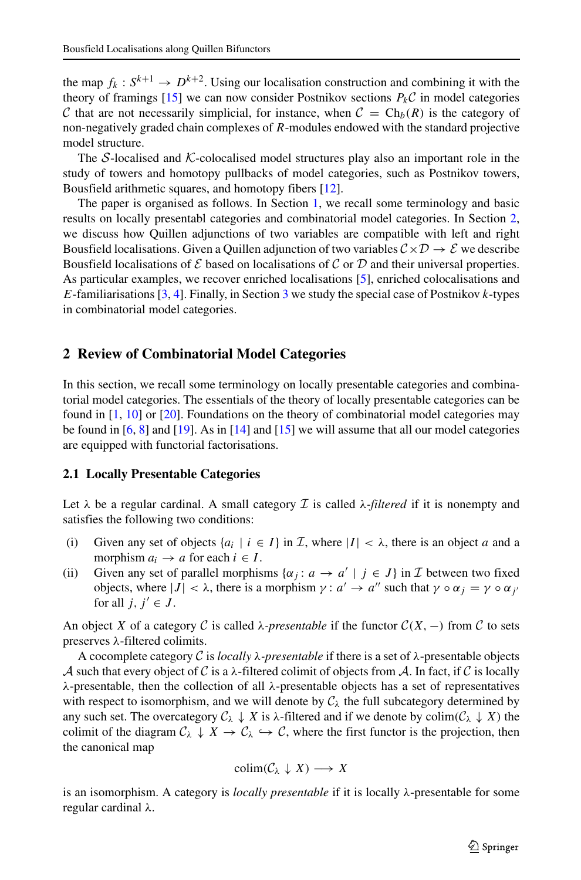the map  $f_k: S^{k+1} \to D^{k+2}$ . Using our localisation construction and combining it with the theory of framings [\[15\]](#page-23-0) we can now consider Postnikov sections  $P_k\mathcal{C}$  in model categories C that are not necessarily simplicial, for instance, when  $C = Ch_b(R)$  is the category of non-negatively graded chain complexes of R-modules endowed with the standard projective model structure.

The  $S$ -localised and  $K$ -colocalised model structures play also an important role in the study of towers and homotopy pullbacks of model categories, such as Postnikov towers, Bousfield arithmetic squares, and homotopy fibers [\[12\]](#page-22-2).

The paper is organised as follows. In Section [1,](#page-1-0) we recall some terminology and basic results on locally presentabl categories and combinatorial model categories. In Section [2,](#page-2-0) we discuss how Quillen adjunctions of two variables are compatible with left and right Bousfield localisations. Given a Quillen adjunction of two variables  $C \times D \rightarrow \mathcal{E}$  we describe Bousfield localisations of  $E$  based on localisations of  $C$  or  $D$  and their universal properties. As particular examples, we recover enriched localisations [\[5\]](#page-22-1), enriched colocalisations and E-familiarisations  $[3, 4]$  $[3, 4]$ . Finally, in Section [3](#page-5-0) we study the special case of Postnikov k-types in combinatorial model categories.

#### **2 Review of Combinatorial Model Categories**

In this section, we recall some terminology on locally presentable categories and combinatorial model categories. The essentials of the theory of locally presentable categories can be found in [\[1,](#page-22-4) [10\]](#page-22-5) or [\[20\]](#page-23-1). Foundations on the theory of combinatorial model categories may be found in  $[6, 8]$  $[6, 8]$  and  $[19]$ . As in  $[14]$  and  $[15]$  we will assume that all our model categories are equipped with functorial factorisations.

#### **2.1 Locally Presentable Categories**

Let  $\lambda$  be a regular cardinal. A small category  $\mathcal I$  is called  $\lambda$ -*filtered* if it is nonempty and satisfies the following two conditions:

- (i) Given any set of objects  $\{a_i \mid i \in I\}$  in  $\mathcal{I}$ , where  $|I| < \lambda$ , there is an object a and a morphism  $a_i \rightarrow a$  for each  $i \in I$ .
- (ii) Given any set of parallel morphisms  $\{\alpha_j : a \to a' \mid j \in J\}$  in  $\mathcal I$  between two fixed objects, where  $|J| < \lambda$ , there is a morphism  $\gamma : a' \to a''$  such that  $\gamma \circ \alpha_j = \gamma \circ \alpha_{j'}$ for all  $j, j' \in J$ .

An object X of a category C is called  $\lambda$ -presentable if the functor  $C(X, -)$  from C to sets preserves λ-filtered colimits.

A cocomplete category C is *locally* λ*-presentable* if there is a set of λ-presentable objects A such that every object of C is a  $\lambda$ -filtered colimit of objects from A. In fact, if C is locally λ-presentable, then the collection of all λ-presentable objects has a set of representatives with respect to isomorphism, and we will denote by  $C_{\lambda}$  the full subcategory determined by any such set. The overcategory  $C_\lambda \downarrow X$  is  $\lambda$ -filtered and if we denote by colim( $C_\lambda \downarrow X$ ) the colimit of the diagram  $C_\lambda \downarrow X \rightarrow C_\lambda \hookrightarrow C$ , where the first functor is the projection, then the canonical map

$$
\mathrm{colim}(\mathcal{C}_{\lambda} \downarrow X) \longrightarrow X
$$

is an isomorphism. A category is *locally presentable* if it is locally λ-presentable for some regular cardinal λ.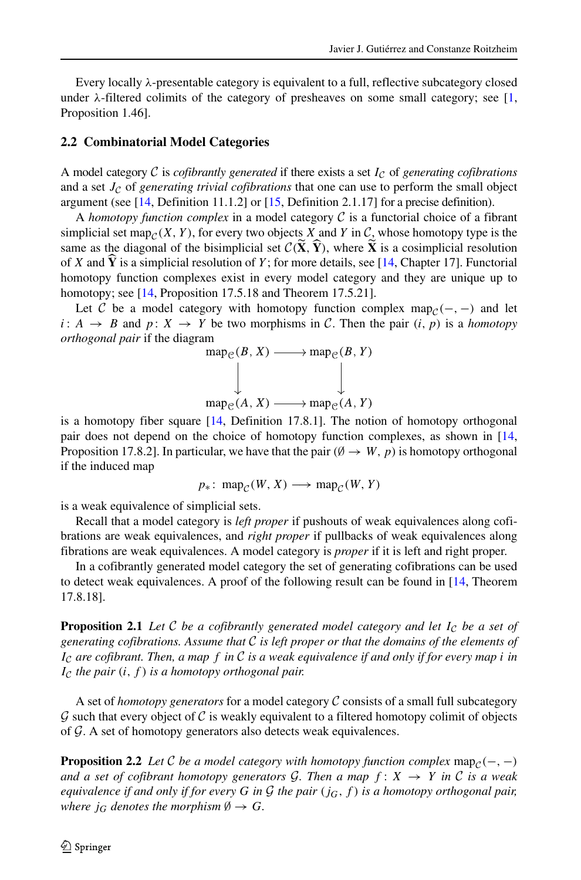Every locally  $\lambda$ -presentable category is equivalent to a full, reflective subcategory closed under  $\lambda$ -filtered colimits of the category of presheaves on some small category; see [\[1,](#page-22-4) Proposition 1.46].

#### **2.2 Combinatorial Model Categories**

A model category  $C$  is *cofibrantly generated* if there exists a set  $I_C$  of *generating cofibrations* and a set  $J_{\mathcal{C}}$  of *generating trivial cofibrations* that one can use to perform the small object argument (see [\[14,](#page-22-8) Definition 11.1.2] or [\[15,](#page-23-0) Definition 2.1.17] for a precise definition).

A *homotopy function complex* in a model category  $\mathcal C$  is a functorial choice of a fibrant simplicial set map<sub>C</sub> $(X, Y)$ , for every two objects  $X$  and Y in  $C_2$  whose homotopy type is the same as the diagonal of the bisimplicial set  $C(\tilde{X}, \tilde{Y})$ , where  $\tilde{X}$  is a cosimplicial resolution of X and  $\dot{Y}$  is a simplicial resolution of Y; for more details, see [\[14,](#page-22-8) Chapter 17]. Functorial homotopy function complexes exist in every model category and they are unique up to homotopy; see [\[14,](#page-22-8) Proposition 17.5.18 and Theorem 17.5.21].

Let C be a model category with homotopy function complex map $c(-, -)$  and let  $i: A \rightarrow B$  and  $p: X \rightarrow Y$  be two morphisms in C. Then the pair  $(i, p)$  is a *homotopy orthogonal pair* if the diagram

$$
\operatorname{map}_{\mathcal{C}}(B, X) \longrightarrow \operatorname{map}_{\mathcal{C}}(B, Y)
$$
  

$$
\downarrow \qquad \qquad \downarrow
$$
  

$$
\operatorname{map}_{\mathcal{C}}(A, X) \longrightarrow \operatorname{map}_{\mathcal{C}}(A, Y)
$$

is a homotopy fiber square  $[14,$  Definition 17.8.1]. The notion of homotopy orthogonal pair does not depend on the choice of homotopy function complexes, as shown in [\[14,](#page-22-8) Proposition 17.8.2]. In particular, we have that the pair ( $\emptyset \rightarrow W, p$ ) is homotopy orthogonal if the induced map

$$
p_*\colon \text{map}_{\mathcal{C}}(W, X) \longrightarrow \text{map}_{\mathcal{C}}(W, Y)
$$

is a weak equivalence of simplicial sets.

Recall that a model category is *left proper* if pushouts of weak equivalences along cofibrations are weak equivalences, and *right proper* if pullbacks of weak equivalences along fibrations are weak equivalences. A model category is *proper* if it is left and right proper.

In a cofibrantly generated model category the set of generating cofibrations can be used to detect weak equivalences. A proof of the following result can be found in [\[14,](#page-22-8) Theorem 17.8.18].

**Proposition 2.1** *Let* C *be a cofibrantly generated model category and let*  $I_c$  *be a set of generating cofibrations. Assume that* C *is left proper or that the domains of the elements of* I<sup>C</sup> *are cofibrant. Then, a map* f *in* C *is a weak equivalence if and only if for every map* i *in*  $I_{\mathcal{C}}$  *the pair*  $(i, f)$  *is a homotopy orthogonal pair.* 

A set of *homotopy generators* for a model category C consists of a small full subcategory  $\mathcal G$  such that every object of  $\mathcal C$  is weakly equivalent to a filtered homotopy colimit of objects of  $G$ . A set of homotopy generators also detects weak equivalences.

**Proposition 2.2** *Let*  $C$  *be a model category with homotopy function complex* map $_{C}(-, -)$ *and a set of cofibrant homotopy generators G. Then a map*  $f: X \rightarrow Y$  *in* C *is a weak equivalence if and only if for every* G *in* G *the pair* (jG,f) *is a homotopy orthogonal pair, where*  $j_G$  *denotes the morphism*  $\emptyset \rightarrow G$ *.*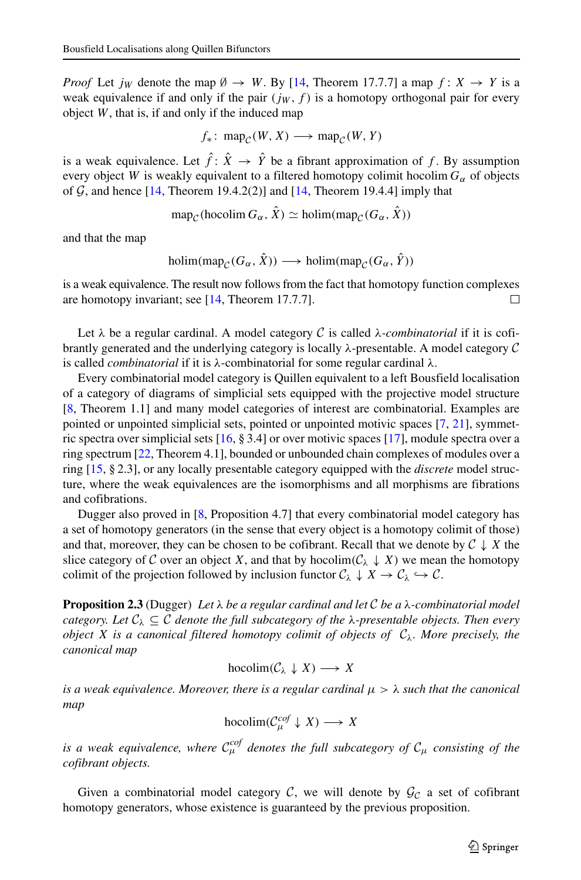*Proof* Let  $j_W$  denote the map  $\emptyset \rightarrow W$ . By [\[14,](#page-22-8) Theorem 17.7.7] a map  $f: X \rightarrow Y$  is a weak equivalence if and only if the pair  $(jw, f)$  is a homotopy orthogonal pair for every object  $W$ , that is, if and only if the induced map

$$
f_*\colon \text{map}_{\mathcal{C}}(W, X) \longrightarrow \text{map}_{\mathcal{C}}(W, Y)
$$

is a weak equivalence. Let  $\hat{f}$ :  $\hat{X} \rightarrow \hat{Y}$  be a fibrant approximation of f. By assumption every object W is weakly equivalent to a filtered homotopy colimit hocolim  $G_{\alpha}$  of objects of  $G$ , and hence [\[14,](#page-22-8) Theorem 19.4.2(2)] and [\[14,](#page-22-8) Theorem 19.4.4] imply that

$$
\operatorname{map}_{\mathcal{C}}(\operatorname{hocolim} G_{\alpha}, \hat{X}) \simeq \operatorname{holim}(\operatorname{map}_{\mathcal{C}}(G_{\alpha}, \hat{X}))
$$

<span id="page-5-0"></span>and that the map

holim(map<sub>C</sub>( $G_{\alpha}$ ,  $\hat{X}$ ))  $\longrightarrow$  holim(map<sub>C</sub>( $G_{\alpha}$ ,  $\hat{Y}$ ))

is a weak equivalence. The result now follows from the fact that homotopy function complexes are homotopy invariant; see [\[14,](#page-22-8) Theorem 17.7.7]. П

Let  $\lambda$  be a regular cardinal. A model category C is called  $\lambda$ -*combinatorial* if it is cofibrantly generated and the underlying category is locally  $\lambda$ -presentable. A model category  $\mathcal C$ is called *combinatorial* if it is λ-combinatorial for some regular cardinal λ.

Every combinatorial model category is Quillen equivalent to a left Bousfield localisation of a category of diagrams of simplicial sets equipped with the projective model structure [\[8,](#page-22-7) Theorem 1.1] and many model categories of interest are combinatorial. Examples are pointed or unpointed simplicial sets, pointed or unpointed motivic spaces [\[7,](#page-22-9) [21\]](#page-23-3), symmetric spectra over simplicial sets [\[16,](#page-23-4) § 3.4] or over motivic spaces [\[17\]](#page-23-5), module spectra over a ring spectrum [\[22,](#page-23-6) Theorem 4.1], bounded or unbounded chain complexes of modules over a ring [\[15,](#page-23-0) § 2.3], or any locally presentable category equipped with the *discrete* model structure, where the weak equivalences are the isomorphisms and all morphisms are fibrations and cofibrations.

Dugger also proved in [\[8,](#page-22-7) Proposition 4.7] that every combinatorial model category has a set of homotopy generators (in the sense that every object is a homotopy colimit of those) and that, moreover, they can be chosen to be cofibrant. Recall that we denote by  $C \downarrow X$  the slice category of C over an object X, and that by hocolim( $C_{\lambda} \downarrow X$ ) we mean the homotopy colimit of the projection followed by inclusion functor  $C_{\lambda} \downarrow X \rightarrow C_{\lambda} \hookrightarrow C$ .

**Proposition 2.3** (Dugger) *Let* λ *be a regular cardinal and let* C *be a* λ*-combinatorial model category. Let*  $C_{\lambda} \subseteq C$  *denote the full subcategory of the*  $\lambda$ -presentable *objects. Then every object* X *is a canonical filtered homotopy colimit of objects of*  $C_\lambda$ *. More precisely, the canonical map*

hocolim $(C_\lambda \downarrow X) \longrightarrow X$ 

*is a weak equivalence. Moreover, there is a regular cardinal*  $\mu > \lambda$  *such that the canonical map*

hocolim $(\mathcal{C}_{\mu}^{cof} \downarrow X) \longrightarrow X$ 

is a weak equivalence, where  $\mathcal{C}_{\mu}^{cof}$  denotes the full subcategory of  $\mathcal{C}_{\mu}$  consisting of the *cofibrant objects.*

Given a combinatorial model category  $C$ , we will denote by  $\mathcal{G}_C$  a set of cofibrant homotopy generators, whose existence is guaranteed by the previous proposition.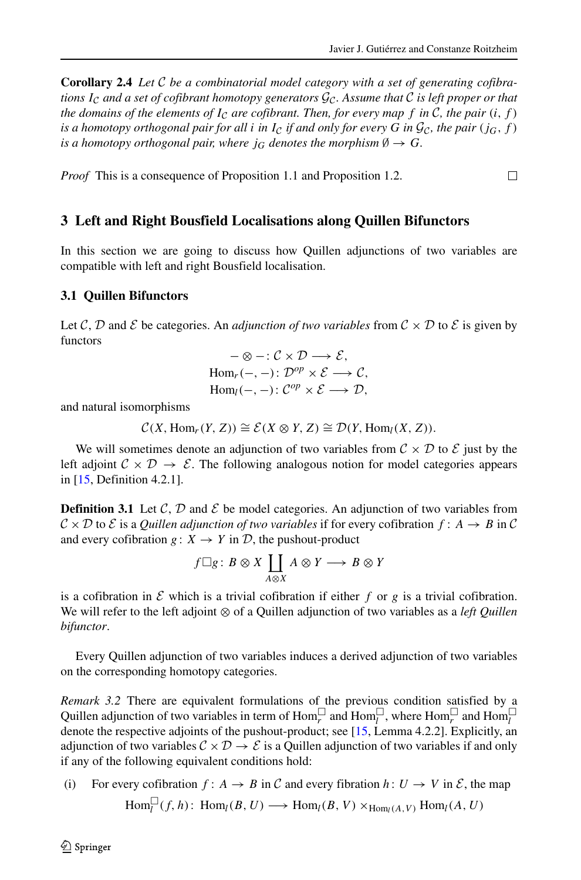**Corollary 2.4** *Let* C *be a combinatorial model category with a set of generating cofibrations* I<sub>C</sub> and a set of cofibrant homotopy generators  $\mathcal{G}_c$ . Assume that C is left proper or that *the domains of the elements of*  $I_c$  *are cofibrant. Then, for every map f in C, the pair*  $(i, f)$ *is a homotopy orthogonal pair for all i in*  $I_c$  *if and only for every* G *in*  $\mathcal{G}_c$ *, the pair* (*j<sub>G</sub>*, *f*) *is a homotopy orthogonal pair, where*  $j_G$  *denotes the morphism*  $\emptyset \rightarrow G$ *.* 

*Proof* This is a consequence of Proposition 1.1 and Proposition 1.2.  $\Box$ 

#### **3 Left and Right Bousfield Localisations along Quillen Bifunctors**

In this section we are going to discuss how Quillen adjunctions of two variables are compatible with left and right Bousfield localisation.

#### **3.1 Quillen Bifunctors**

Let C, D and E be categories. An *adjunction of two variables* from  $C \times D$  to E is given by functors

$$
-\otimes -: \mathcal{C} \times \mathcal{D} \longrightarrow \mathcal{E},
$$
  
Hom<sub>r</sub>(-, -):  $\mathcal{D}^{op} \times \mathcal{E} \longrightarrow \mathcal{C},$   
Hom<sub>l</sub>(-, -):  $\mathcal{C}^{op} \times \mathcal{E} \longrightarrow \mathcal{D},$ 

and natural isomorphisms

$$
\mathcal{C}(X, \text{Hom}_r(Y, Z)) \cong \mathcal{E}(X \otimes Y, Z) \cong \mathcal{D}(Y, \text{Hom}_l(X, Z)).
$$

We will sometimes denote an adjunction of two variables from  $C \times D$  to  $\mathcal E$  just by the left adjoint  $C \times D \rightarrow \mathcal{E}$ . The following analogous notion for model categories appears in [\[15,](#page-23-0) Definition 4.2.1].

**Definition 3.1** Let  $\mathcal{C}, \mathcal{D}$  and  $\mathcal{E}$  be model categories. An adjunction of two variables from  $\mathcal{C} \times \mathcal{D}$  to  $\mathcal{E}$  is a *Quillen adjunction of two variables* if for every cofibration  $f: A \rightarrow B$  in  $\mathcal{C}$ and every cofibration  $g: X \to Y$  in  $D$ , the pushout-product

$$
f \square g : B \otimes X \coprod_{A \otimes X} A \otimes Y \longrightarrow B \otimes Y
$$

is a cofibration in  $\mathcal E$  which is a trivial cofibration if either f or g is a trivial cofibration. We will refer to the left adjoint ⊗ of a Quillen adjunction of two variables as a *left Quillen bifunctor*.

Every Quillen adjunction of two variables induces a derived adjunction of two variables on the corresponding homotopy categories.

*Remark 3.2* There are equivalent formulations of the previous condition satisfied by a Quillen adjunction of two variables in term of  $\text{Hom}_r^{\square}$  and  $\text{Hom}_l^{\square}$ , where  $\text{Hom}_r^{\square}$  and  $\text{Hom}_l^{\square}$ denote the respective adjoints of the pushout-product; see [\[15,](#page-23-0) Lemma 4.2.2]. Explicitly, an adjunction of two variables  $C \times D \rightarrow \mathcal{E}$  is a Quillen adjunction of two variables if and only if any of the following equivalent conditions hold:

(i) For every cofibration  $f: A \to B$  in C and every fibration  $h: U \to V$  in E, the map  $\text{Hom}_{l}^{\square}(f, h): \text{Hom}_{l}(B, U) \longrightarrow \text{Hom}_{l}(B, V) \times_{\text{Hom}_{l}(A, V)} \text{Hom}_{l}(A, U)$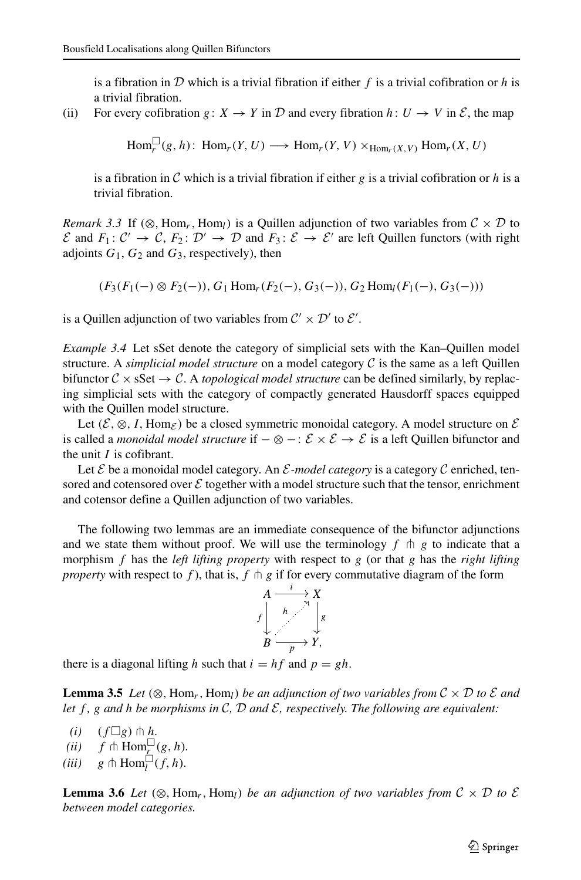is a fibration in  $D$  which is a trivial fibration if either f is a trivial cofibration or h is a trivial fibration.

(ii) For every cofibration  $g: X \to Y$  in D and every fibration  $h: U \to V$  in E, the map

 $\text{Hom}_r^{\square}(g, h)$ :  $\text{Hom}_r(Y, U) \longrightarrow \text{Hom}_r(Y, V) \times_{\text{Hom}_r(X, V)} \text{Hom}_r(X, U)$ 

is a fibration in C which is a trivial fibration if either g is a trivial cofibration or h is a trivial fibration.

*Remark 3.3* If (⊗, Hom<sub>r</sub>, Hom<sub>l</sub>) is a Quillen adjunction of two variables from  $C \times D$  to  $\mathcal E$  and  $F_1: \mathcal C' \to \mathcal C$ ,  $F_2: \mathcal D' \to \mathcal D$  and  $F_3: \mathcal E \to \mathcal E'$  are left Quillen functors (with right adjoints  $G_1$ ,  $G_2$  and  $G_3$ , respectively), then

$$
(F_3(F_1(-) \otimes F_2(-)), G_1 \operatorname{Hom}_r(F_2(-), G_3(-)), G_2 \operatorname{Hom}_l(F_1(-), G_3(-)))
$$

is a Quillen adjunction of two variables from  $\mathcal{C}' \times \mathcal{D}'$  to  $\mathcal{E}'$ .

*Example 3.4* Let sSet denote the category of simplicial sets with the Kan–Quillen model structure. A *simplicial model structure* on a model category C is the same as a left Quillen bifunctor  $C \times \text{sSet} \rightarrow C$ . A *topological model structure* can be defined similarly, by replacing simplicial sets with the category of compactly generated Hausdorff spaces equipped with the Quillen model structure.

Let  $(\mathcal{E}, \otimes, I, \text{Hom}_{\mathcal{E}})$  be a closed symmetric monoidal category. A model structure on  $\mathcal{E}$ is called a *monoidal model structure* if −⊗−: E × E → E is a left Quillen bifunctor and the unit  $I$  is cofibrant.

Let  $\mathcal E$  be a monoidal model category. An  $\mathcal E$ -model category is a category  $\mathcal C$  enriched, tensored and cotensored over  $\mathcal E$  together with a model structure such that the tensor, enrichment and cotensor define a Quillen adjunction of two variables.

The following two lemmas are an immediate consequence of the bifunctor adjunctions and we state them without proof. We will use the terminology  $f \uparrow g$  to indicate that a morphism f has the *left lifting property* with respect to g (or that g has the *right lifting property* with respect to f), that is, f  $\uparrow$  g if for every commutative diagram of the form  $A \xrightarrow{f} X$ <br> $\downarrow$   $\downarrow$ 



there is a diagonal lifting h such that  $i = hf$  and  $p = gh$ .

**Lemma 3.5** Let  $(\otimes, \text{Hom}_r, \text{Hom}_l)$  *be an adjunction of two variables from*  $\mathcal{C} \times \mathcal{D}$  *to*  $\mathcal{E}$  *and let*  $f$ ,  $g$  and  $h$  *be morphisms in*  $C$ ,  $D$  *and*  $E$ , *respectively. The following are equivalent:* 

 $(i)$   $(f \Box g) \pitchfork h$ .

- $(iii)$   $f \uparrow \text{Hom}_{r}(g, h)$ .
- (*iii*)  $g \uparrow \text{Hom}_{l}^{\square}(f, h)$ .

**Lemma 3.6** Let  $(\otimes, \text{Hom}_r, \text{Hom}_l)$  *be an adjunction of two variables from*  $C \times D$  *to*  $\mathcal{E}$ *between model categories.*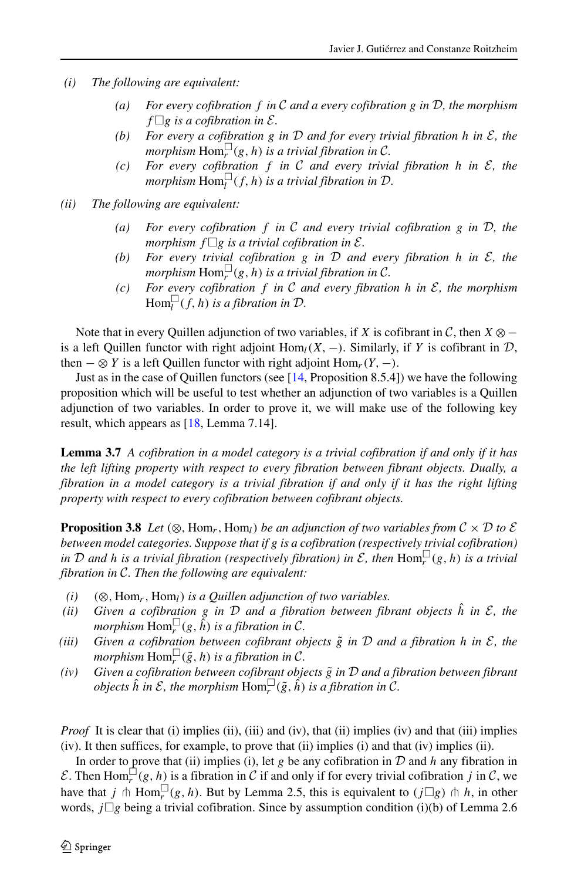- *(i) The following are equivalent:*
	- *(a) For every cofibration* f *in* C *and a every cofibration* g *in* D*, the morphism*  $f \Box g$  *is a cofibration in*  $\mathcal{E}$ *.*
	- *(b) For every a cofibration* g *in* D *and for every trivial fibration* h *in* E*, the*  $morphism$   $\text{Hom}_r^{\square}(g, h)$  *is a trivial fibration in*  $\mathcal{C}$ *.*
	- *(c) For every cofibration* f *in* C *and every trivial fibration* h *in* E*, the*  $morphism$   $\text{Hom}_{l}^{\square}(f, h)$  *is a trivial fibration in*  $D$ .
- *(ii) The following are equivalent:*
	- *(a) For every cofibration* f *in* C *and every trivial cofibration* g *in* D*, the morphism*  $f \Box g$  *is a trivial cofibration in*  $\mathcal{E}$ *.*
	- *(b) For every trivial cofibration* g *in* D *and every fibration* h *in* E*, the*  $morphism$   $Hom_r^{\square}(g, h)$  *is a trivial fibration in*  $\mathcal{C}$ *.*
	- *(c) For every cofibration* f *in* C *and every fibration* h *in* E*, the morphism*  $\text{Hom}_{l}^{\square}(f, h)$  is a fibration in  $\mathcal{D}$ .

Note that in every Quillen adjunction of two variables, if X is cofibrant in  $\mathcal{C}$ , then  $X \otimes$ is a left Quillen functor with right adjoint  $\text{Hom}_{l}(X, -)$ . Similarly, if Y is cofibrant in  $D$ , then  $-\otimes Y$  is a left Quillen functor with right adjoint Hom<sub>r</sub>(Y, –).

Just as in the case of Quillen functors (see [\[14,](#page-22-8) Proposition 8.5.4]) we have the following proposition which will be useful to test whether an adjunction of two variables is a Quillen adjunction of two variables. In order to prove it, we will make use of the following key result, which appears as [\[18,](#page-23-7) Lemma 7.14].

**Lemma 3.7** *A cofibration in a model category is a trivial cofibration if and only if it has the left lifting property with respect to every fibration between fibrant objects. Dually, a fibration in a model category is a trivial fibration if and only if it has the right lifting property with respect to every cofibration between cofibrant objects.*

**Proposition 3.8** *Let* ( $\otimes$ , Hom<sub>r</sub>, Hom<sub>l</sub>) *be an adjunction of two variables from*  $C \times D$  *to*  $\mathcal{E}$ *between model categories. Suppose that if* g *is a cofibration (respectively trivial cofibration) in*  $D$  *and h is a trivial fibration (respectively fibration) in*  $E$ , *then*  $\text{Hom}_r^{\square}(g, h)$  *is a trivial fibration in* C*. Then the following are equivalent:*

- $(i)$   $(\otimes, \text{Hom}_r, \text{Hom}_l)$  *is a Quillen adjunction of two variables.*
- *(ii)* Given a cofibration g in  $D$  and a fibration between fibrant objects  $\hat{h}$  in  $\mathcal{E}$ , the morphism  $\text{Hom}_r^\square(g,\tilde{h})$  is a fibration in C.
- *(iii)* Given a cofibration between cofibrant objects  $\tilde{g}$  in  $D$  and a fibration h in  $\mathcal{E}$ , the  $morphism \ \text{Hom}_{r}^{\square}(\tilde{g}, h)$  *is a fibration in* C.
- *(iv) Given a cofibration between cofibrant objects* g˜ *in* D *and a fibration between fibrant*  $\omega$  *objects*  $\hat{h}$  *in*  $\mathcal{E}$ *, the morphism*  $\text{Hom}_r^\square(\tilde{g}, \tilde{h})$  *is a fibration in*  $\mathcal{C}$ *.*

*Proof* It is clear that (i) implies (ii), (iii) and (iv), that (ii) implies (iv) and that (iii) implies (iv). It then suffices, for example, to prove that (ii) implies (i) and that (iv) implies (ii).

In order to prove that (ii) implies (i), let g be any cofibration in  $D$  and h any fibration in  $\mathcal{E}$ . Then Hom $\Box^{\Box}(g, h)$  is a fibration in  $\Box$  if and only if for every trivial cofibration j in  $\Box$ , we have that  $j \uparrow \text{Hom}_r^{\square}(g, h)$ . But by Lemma 2.5, this is equivalent to  $(j \square g) \uparrow h$ , in other words,  $j\Box g$  being a trivial cofibration. Since by assumption condition (i)(b) of Lemma 2.6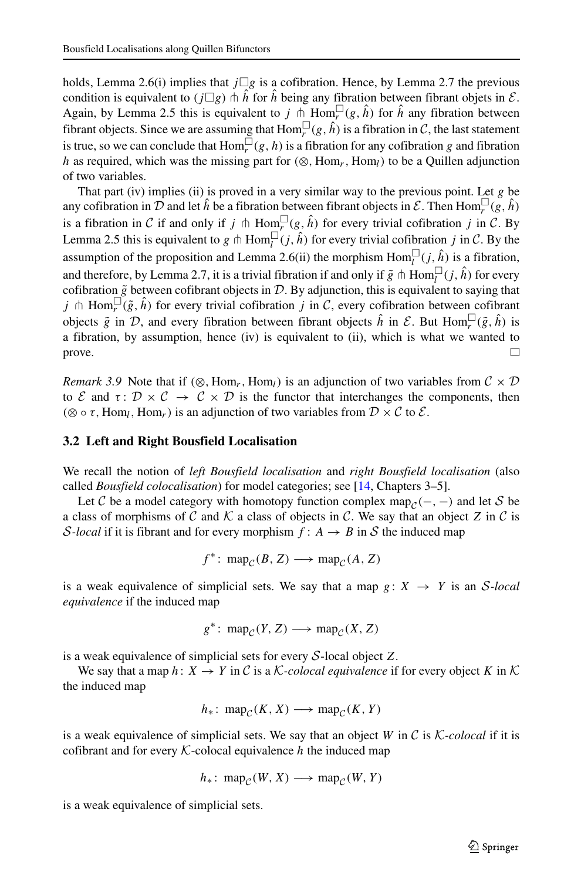holds, Lemma 2.6(i) implies that  $j \Box g$  is a cofibration. Hence, by Lemma 2.7 the previous condition is equivalent to  $(j\Box g) \pitchfork \hat{h}$  for  $\hat{h}$  being any fibration between fibrant objets in  $\mathcal{E}$ . Again, by Lemma 2.5 this is equivalent to j  $\stackrel{\frown}{\uparrow}$  Hom $\stackrel{\Box}{r}(g, \hat{h})$  for  $\hat{h}$  any fibration between fibrant objects. Since we are assuming that  $\text{Hom}_r^{\square}(g, \hat{h})$  is a fibration in C, the last statement is true, so we can conclude that  $\text{Hom}_r^{\square}(g, h)$  is a fibration for any cofibration g and fibration h as required, which was the missing part for  $(\otimes, \text{Hom}_r, \text{Hom}_l)$  to be a Quillen adjunction of two variables.

That part (iv) implies (ii) is proved in a very similar way to the previous point. Let  $g$  be any cofibration in  $\mathcal D$  and let  $\hat h$  be a fibration between fibrant objects in  $\mathcal E$ . Then  $\text{Hom}_r^\square(g, \hat h)$ is a fibration in C if and only if  $j \pitchfork Hom_{r}^{\square}(g, \hat{h})$  for every trivial cofibration j in C. By Lemma 2.5 this is equivalent to g  $\ln \text{Hom}_{l}^{\square}(j, \hat{h})$  for every trivial cofibration j in C. By the assumption of the proposition and Lemma 2.6(ii) the morphism  $\text{Hom}_{l}^{\square}(j, \hat{h})$  is a fibration, and therefore, by Lemma 2.7, it is a trivial fibration if and only if  $\tilde{g} \pitchfork Hom_l^{\square}(j, \hat{h})$  for every cofibration  $\tilde{g}$  between cofibrant objects in  $D$ . By adjunction, this is equivalent to saying that j  $\phi$  Hom $_{r}^{\square}(\tilde{g}, \hat{h})$  for every trivial cofibration j in C, every cofibration between cofibrant objects  $\tilde{g}$  in D, and every fibration between fibrant objects  $\hat{h}$  in  $\mathcal{E}$ . But Hom $_{r}^{\square}(\tilde{g}, \hat{h})$  is a fibration, by assumption, hence (iv) is equivalent to (ii), which is what we wanted to prove. □

*Remark 3.9* Note that if (⊗, Hom<sub>r</sub>, Hom<sub>l</sub>) is an adjunction of two variables from  $C \times D$ to E and  $\tau: \mathcal{D} \times \mathcal{C} \to \mathcal{C} \times \mathcal{D}$  is the functor that interchanges the components, then  $(\otimes \circ \tau, \text{Hom}_l, \text{Hom}_r)$  is an adjunction of two variables from  $\mathcal{D} \times \mathcal{C}$  to  $\mathcal{E}$ .

#### **3.2 Left and Right Bousfield Localisation**

We recall the notion of *left Bousfield localisation* and *right Bousfield localisation* (also called *Bousfield colocalisation*) for model categories; see [\[14,](#page-22-8) Chapters 3–5].

Let C be a model category with homotopy function complex map $_{\mathcal{C}}(-, -)$  and let S be a class of morphisms of C and K a class of objects in C. We say that an object Z in C is *S*-local if it is fibrant and for every morphism  $f: A \rightarrow B$  in S the induced map

$$
f^*
$$
:  $\text{map}_{\mathcal{C}}(B, Z) \longrightarrow \text{map}_{\mathcal{C}}(A, Z)$ 

is a weak equivalence of simplicial sets. We say that a map  $g: X \rightarrow Y$  is an S-local *equivalence* if the induced map

$$
g^* \colon \mathrm{map}_{\mathcal{C}}(Y, Z) \longrightarrow \mathrm{map}_{\mathcal{C}}(X, Z)
$$

is a weak equivalence of simplicial sets for every  $S$ -local object Z.

We say that a map  $h: X \to Y$  in C is a K-colocal equivalence if for every object K in K the induced map

$$
h_*\colon \text{map}_{\mathcal{C}}(K, X) \longrightarrow \text{map}_{\mathcal{C}}(K, Y)
$$

is a weak equivalence of simplicial sets. We say that an object W in  $\mathcal C$  is  $\mathcal K\text{-}colocal$  if it is cofibrant and for every  $K$ -colocal equivalence h the induced map

$$
h_*\colon \text{map}_{\mathcal{C}}(W, X) \longrightarrow \text{map}_{\mathcal{C}}(W, Y)
$$

is a weak equivalence of simplicial sets.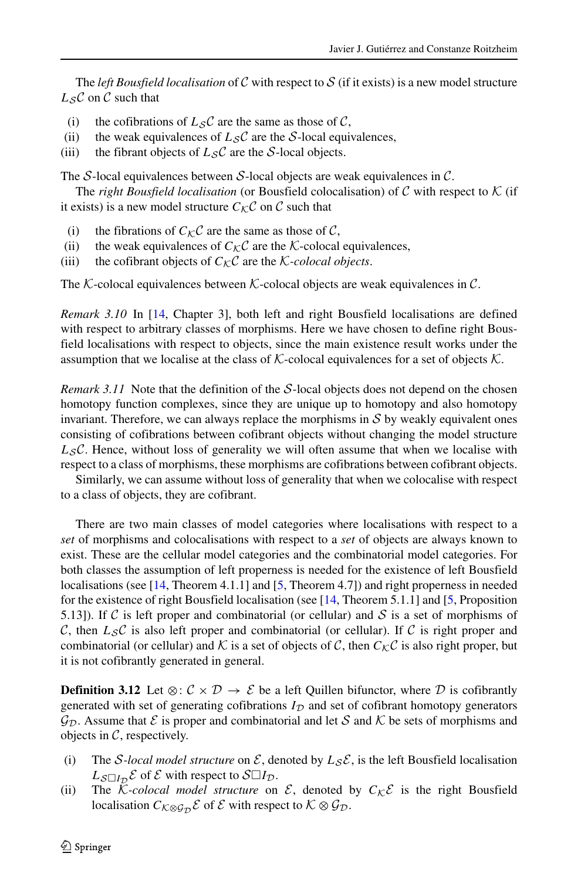The *left Bousfield localisation* of C with respect to S (if it exists) is a new model structure  $L_S C$  on C such that

- (i) the cofibrations of  $L_S C$  are the same as those of C,
- (ii) the weak equivalences of  $L_S C$  are the S-local equivalences,
- (iii) the fibrant objects of  $L_S C$  are the S-local objects.

The S-local equivalences between S-local objects are weak equivalences in  $\mathcal{C}$ .

The *right Bousfield localisation* (or Bousfield colocalisation) of  $C$  with respect to  $K$  (if it exists) is a new model structure  $C_{\mathcal{K}} C$  on C such that

- (i) the fibrations of  $C_{\mathcal{K}}\mathcal{C}$  are the same as those of  $\mathcal{C}$ ,
- (ii) the weak equivalences of  $C_{\mathcal{K}}C$  are the K-colocal equivalences,
- (iii) the cofibrant objects of  $C_{\mathcal{K}}\mathcal{C}$  are the *K*-*colocal objects*.

The K-colocal equivalences between K-colocal objects are weak equivalences in  $\mathcal{C}$ .

*Remark 3.10* In [\[14,](#page-22-8) Chapter 3], both left and right Bousfield localisations are defined with respect to arbitrary classes of morphisms. Here we have chosen to define right Bousfield localisations with respect to objects, since the main existence result works under the assumption that we localise at the class of  $K$ -colocal equivalences for a set of objects  $K$ .

*Remark 3.11* Note that the definition of the S-local objects does not depend on the chosen homotopy function complexes, since they are unique up to homotopy and also homotopy invariant. Therefore, we can always replace the morphisms in  $S$  by weakly equivalent ones consisting of cofibrations between cofibrant objects without changing the model structure  $L_{\mathcal{S}}\mathcal{C}$ . Hence, without loss of generality we will often assume that when we localise with respect to a class of morphisms, these morphisms are cofibrations between cofibrant objects.

Similarly, we can assume without loss of generality that when we colocalise with respect to a class of objects, they are cofibrant.

There are two main classes of model categories where localisations with respect to a *set* of morphisms and colocalisations with respect to a *set* of objects are always known to exist. These are the cellular model categories and the combinatorial model categories. For both classes the assumption of left properness is needed for the existence of left Bousfield localisations (see [\[14,](#page-22-8) Theorem 4.1.1] and [\[5,](#page-22-1) Theorem 4.7]) and right properness in needed for the existence of right Bousfield localisation (see [\[14,](#page-22-8) Theorem 5.1.1] and [\[5,](#page-22-1) Proposition 5.13]). If C is left proper and combinatorial (or cellular) and S is a set of morphisms of C, then  $L_S C$  is also left proper and combinatorial (or cellular). If C is right proper and combinatorial (or cellular) and K is a set of objects of C, then  $C_{\mathcal{K}}C$  is also right proper, but it is not cofibrantly generated in general.

**Definition 3.12** Let ⊗:  $\mathcal{C} \times \mathcal{D} \rightarrow \mathcal{E}$  be a left Quillen bifunctor, where  $\mathcal{D}$  is cofibrantly generated with set of generating cofibrations  $I_{\mathcal{D}}$  and set of cofibrant homotopy generators  $\mathcal{G}_{\mathcal{D}}$ . Assume that  $\mathcal E$  is proper and combinatorial and let S and K be sets of morphisms and objects in  $C$ , respectively.

- (i) The S-local model structure on  $\mathcal{E}$ , denoted by  $L_{\mathcal{S}}\mathcal{E}$ , is the left Bousfield localisation  $L_{\mathcal{S}\Box I_{\mathcal{D}}} \mathcal{E}$  of  $\mathcal{E}$  with respect to  $\mathcal{S}\Box I_{\mathcal{D}}$ .
- (ii) The  $\overline{K}$ -colocal model structure on  $\mathcal{E}$ , denoted by  $C_K \mathcal{E}$  is the right Bousfield localisation  $C_{K\otimes \mathcal{G}_D} \mathcal{E}$  of  $\mathcal{E}$  with respect to  $K\otimes \mathcal{G}_D$ .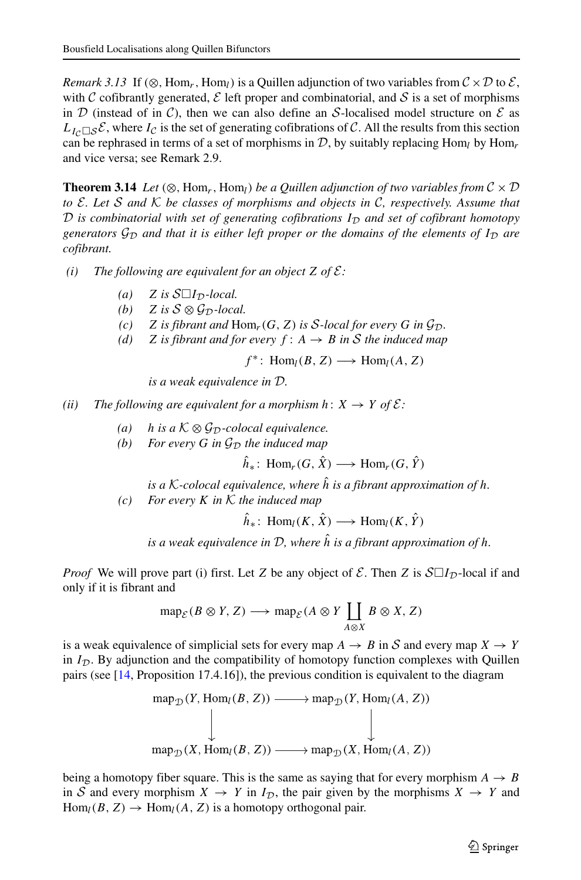*Remark 3.13* If (⊗, Hom<sub>r</sub>, Hom<sub>l</sub>) is a Quillen adjunction of two variables from  $C \times D$  to  $\mathcal{E}$ , with C cofibrantly generated,  $\mathcal E$  left proper and combinatorial, and  $\mathcal S$  is a set of morphisms in  $D$  (instead of in C), then we can also define an S-localised model structure on  $E$  as  $L_{I_c \Box S} \mathcal{E}$ , where  $I_c$  is the set of generating cofibrations of C. All the results from this section can be rephrased in terms of a set of morphisms in  $D$ , by suitably replacing Hom<sub>l</sub> by Hom<sub>r</sub> and vice versa; see Remark 2.9.

**Theorem 3.14** *Let*  $(\otimes, \text{Hom}_r, \text{Hom}_l)$  *be a Quillen adjunction of two variables from*  $C \times D$ *to* E*. Let* S *and* K *be classes of morphisms and objects in* C*, respectively. Assume that*  $D$  *is combinatorial with set of generating cofibrations*  $I_D$  *and set of cofibrant homotopy generators*  $G_D$  *and that it is either left proper or the domains of the elements of*  $I_D$  *are cofibrant.*

*(i)* The following are equivalent for an object Z of  $\mathcal{E}$ :

- (*a*)  $Z$  *is*  $S\square I_{\mathcal{D}}$ *-local.*
- *(b)*  $Z$  *is*  $S \otimes G_D$ *-local.*
- *(c)*  $Z$  *is fibrant and*  $\text{Hom}_r(G, Z)$  *is S-local for every*  $G$  *in*  $\mathcal{G}_D$ *.*
- *(d)* Z is fibrant and for every  $f: A \rightarrow B$  in S the induced map

 $f^*$ : Hom<sub>l</sub>(B, Z)  $\longrightarrow$  Hom<sub>l</sub>(A, Z)

*is a weak equivalence in* D*.*

*(ii)* The following are equivalent for a morphism  $h: X \rightarrow Y$  of  $\mathcal{E}:$ 

- *(a)* h is a  $K \otimes G_D$ -colocal equivalence.
- *(b)* For every G in  $\mathcal{G}_{\mathcal{D}}$  the induced map

 $\hat{h}_*$ : Hom<sub>r</sub>(G,  $\hat{X}$ )  $\longrightarrow$  Hom<sub>r</sub>(G,  $\hat{Y}$ )

*is a*  $K$ -colocal equivalence, where  $\hat{h}$  *is a fibrant approximation of*  $h$ .

*(c) For every* K *in* K *the induced map*

 $\hat{h}_*$ : Hom<sub>l</sub>(K,  $\hat{X}$ )  $\longrightarrow$  Hom<sub>l</sub>(K,  $\hat{Y}$ )

*is a weak equivalence in* D*, where* hˆ *is a fibrant approximation of* h*.*

*Proof* We will prove part (i) first. Let Z be any object of  $\mathcal{E}$ . Then Z is  $\mathcal{S} \Box I_{\mathcal{D}}$ -local if and only if it is fibrant and

$$
\operatorname{map}_{\mathcal{E}}(B \otimes Y, Z) \longrightarrow \operatorname{map}_{\mathcal{E}}(A \otimes Y \coprod_{A \otimes X} B \otimes X, Z)
$$

is a weak equivalence of simplicial sets for every map  $A \rightarrow B$  in S and every map  $X \rightarrow Y$ in  $I_{\mathcal{D}}$ . By adjunction and the compatibility of homotopy function complexes with Quillen pairs (see [\[14,](#page-22-8) Proposition 17.4.16]), the previous condition is equivalent to the diagram

$$
\operatorname{map}_{\mathcal{D}}(Y, \operatorname{Hom}_{l}(B, Z)) \longrightarrow \operatorname{map}_{\mathcal{D}}(Y, \operatorname{Hom}_{l}(A, Z))
$$
\n
$$
\downarrow \qquad \qquad \downarrow
$$
\n
$$
\operatorname{map}_{\mathcal{D}}(X, \operatorname{Hom}_{l}(B, Z)) \longrightarrow \operatorname{map}_{\mathcal{D}}(X, \operatorname{Hom}_{l}(A, Z))
$$

being a homotopy fiber square. This is the same as saying that for every morphism  $A \rightarrow B$ in S and every morphism  $X \to Y$  in  $I_{\mathcal{D}}$ , the pair given by the morphisms  $X \to Y$  and  $\text{Hom}_{l}(B, Z) \to \text{Hom}_{l}(A, Z)$  is a homotopy orthogonal pair.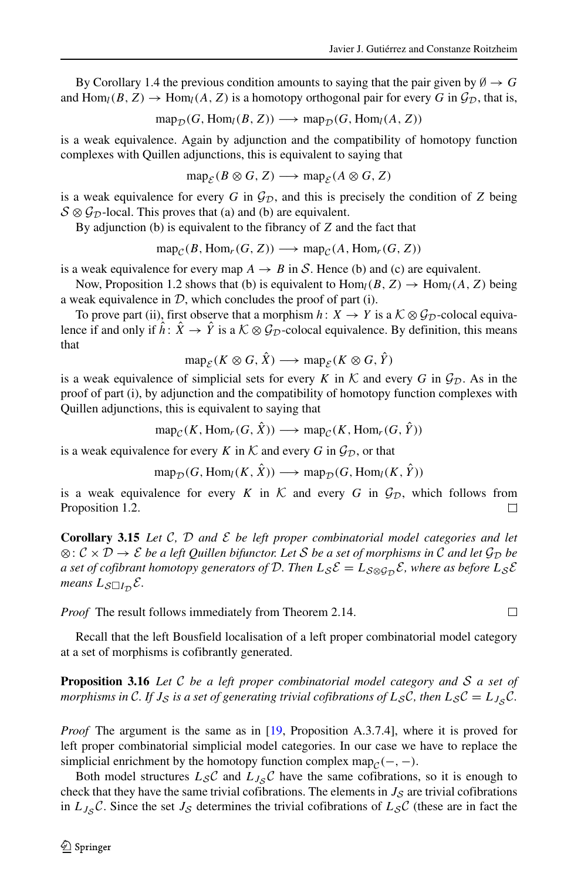By Corollary 1.4 the previous condition amounts to saying that the pair given by  $\emptyset \rightarrow G$ and Hom<sub>l</sub>(B, Z)  $\rightarrow$  Hom<sub>l</sub>(A, Z) is a homotopy orthogonal pair for every G in  $\mathcal{G}_{\mathcal{D}}$ , that is,

$$
map_{\mathcal{D}}(G, \text{Hom}_{l}(B, Z)) \longrightarrow \text{map}_{\mathcal{D}}(G, \text{Hom}_{l}(A, Z))
$$

is a weak equivalence. Again by adjunction and the compatibility of homotopy function complexes with Quillen adjunctions, this is equivalent to saying that

$$
map_{\mathcal{E}}(B \otimes G, Z) \longrightarrow map_{\mathcal{E}}(A \otimes G, Z)
$$

is a weak equivalence for every G in  $\mathcal{G}_D$ , and this is precisely the condition of Z being  $S \otimes \mathcal{G}_{\mathcal{D}}$ -local. This proves that (a) and (b) are equivalent.

By adjunction (b) is equivalent to the fibrancy of  $Z$  and the fact that

$$
map_{\mathcal{C}}(B, Hom_r(G, Z)) \longrightarrow map_{\mathcal{C}}(A, Hom_r(G, Z))
$$

is a weak equivalence for every map  $A \rightarrow B$  in S. Hence (b) and (c) are equivalent.

Now, Proposition 1.2 shows that (b) is equivalent to  $\text{Hom}_{l}(B, Z) \to \text{Hom}_{l}(A, Z)$  being a weak equivalence in  $D$ , which concludes the proof of part (i).

To prove part (ii), first observe that a morphism  $h: X \to Y$  is a  $K \otimes \mathcal{G}_{\mathcal{D}}$ -colocal equivalence if and only if  $\hat{h}$ :  $\hat{X} \to \hat{Y}$  is a  $\mathcal{K} \otimes \mathcal{G}_{\mathcal{D}}$ -colocal equivalence. By definition, this means that

$$
\operatorname{map}_{\mathcal{E}}(K \otimes G, \hat{X}) \longrightarrow \operatorname{map}_{\mathcal{E}}(K \otimes G, \hat{Y})
$$

is a weak equivalence of simplicial sets for every K in K and every G in  $\mathcal{G}_D$ . As in the proof of part (i), by adjunction and the compatibility of homotopy function complexes with Quillen adjunctions, this is equivalent to saying that

$$
\operatorname{map}_{\mathcal{C}}(K, \operatorname{Hom}_r(G, \hat{X})) \longrightarrow \operatorname{map}_{\mathcal{C}}(K, \operatorname{Hom}_r(G, \hat{Y}))
$$

is a weak equivalence for every K in K and every G in  $\mathcal{G}_{\mathcal{D}}$ , or that

$$
\operatorname{map}_{\mathcal{D}}(G, \operatorname{Hom}_{l}(K, \hat{X})) \longrightarrow \operatorname{map}_{\mathcal{D}}(G, \operatorname{Hom}_{l}(K, \hat{Y}))
$$

is a weak equivalence for every K in K and every G in  $\mathcal{G}_{\mathcal{D}}$ , which follows from Proposition 1.2. П

**Corollary 3.15** *Let* C*,* D *and* E *be left proper combinatorial model categories and let* ⊗:  $\mathcal{C} \times \mathcal{D} \rightarrow \mathcal{E}$  *be a left Quillen bifunctor. Let S be a set of morphisms in C and let*  $\mathcal{G}_{\mathcal{D}}$  *be a set of cofibrant homotopy generators of*  $D$ *. Then*  $L_S \mathcal{E} = L_{S \otimes \mathcal{G}_D} \mathcal{E}$ *, where as before*  $L_S \mathcal{E}$ means  $L_{\mathcal{S}\square I_{\mathcal{D}}} \mathcal{E}$ .

*Proof* The result follows immediately from Theorem 2.14.

Recall that the left Bousfield localisation of a left proper combinatorial model category at a set of morphisms is cofibrantly generated.

**Proposition 3.16** *Let* C *be a left proper combinatorial model category and* S *a set of morphisms in* C. If  $J_S$  *is a set of generating trivial cofibrations of*  $L_S C$ *, then*  $L_S C = L_{J_S} C$ *.* 

*Proof* The argument is the same as in [\[19,](#page-23-2) Proposition A.3.7.4], where it is proved for left proper combinatorial simplicial model categories. In our case we have to replace the simplicial enrichment by the homotopy function complex map $_{\mathcal{C}}(-, -)$ .

Both model structures  $L_S C$  and  $L_{J_S} C$  have the same cofibrations, so it is enough to check that they have the same trivial cofibrations. The elements in  $J<sub>S</sub>$  are trivial cofibrations in  $L_{J_{\mathcal{S}}}C$ . Since the set  $J_{\mathcal{S}}$  determines the trivial cofibrations of  $L_{\mathcal{S}}C$  (these are in fact the

 $\Box$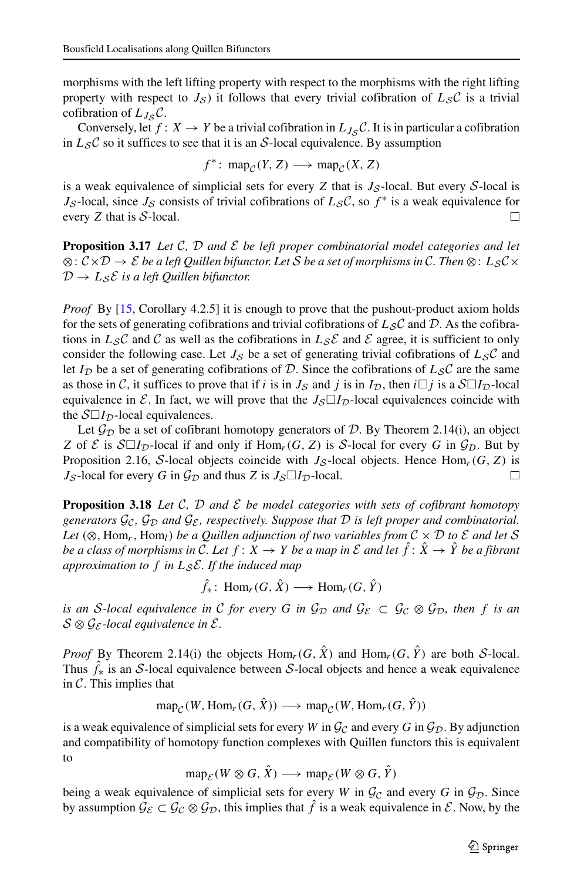morphisms with the left lifting property with respect to the morphisms with the right lifting property with respect to  $J_{\mathcal{S}}$ ) it follows that every trivial cofibration of  $L_{\mathcal{S}}C$  is a trivial cofibration of  $L_{J_{\mathcal{S}}} \mathcal{C}$ .

Conversely, let  $f: X \to Y$  be a trivial cofibration in  $L_{J_{\mathcal{S}}} \mathcal{C}$ . It is in particular a cofibration in  $L_{\mathcal{S}} C$  so it suffices to see that it is an S-local equivalence. By assumption

$$
f^* \colon \mathrm{map}_{\mathcal{C}}(Y, Z) \longrightarrow \mathrm{map}_{\mathcal{C}}(X, Z)
$$

is a weak equivalence of simplicial sets for every  $Z$  that is  $J_S$ -local. But every  $S$ -local is  $J_{\mathcal{S}}$ -local, since  $J_{\mathcal{S}}$  consists of trivial cofibrations of  $L_{\mathcal{S}}\mathcal{C}$ , so  $f^*$  is a weak equivalence for every  $Z$  that is  $S$ -local.  $\Box$ 

**Proposition 3.17** *Let* C*,* D *and* E *be left proper combinatorial model categories and let* ⊗: C×D → E *be a left Quillen bifunctor. Let* S *be a set of morphisms in* C*. Then* ⊗: L<sup>S</sup> C×  $\mathcal{D} \to L_{\mathcal{S}} \mathcal{E}$  *is a left Quillen bifunctor.* 

*Proof* By [\[15,](#page-23-0) Corollary 4.2.5] it is enough to prove that the pushout-product axiom holds for the sets of generating cofibrations and trivial cofibrations of  $L_S C$  and D. As the cofibrations in  $L_S C$  and C as well as the cofibrations in  $L_S \mathcal{E}$  and E agree, it is sufficient to only consider the following case. Let  $J_S$  be a set of generating trivial cofibrations of  $L_S C$  and let  $I_{\mathcal{D}}$  be a set of generating cofibrations of D. Since the cofibrations of  $L_{\mathcal{S}}C$  are the same as those in C, it suffices to prove that if i is in  $J_S$  and j is in  $I_D$ , then  $i \Box j$  is a  $S \Box I_D$ -local equivalence in  $\mathcal{E}$ . In fact, we will prove that the  $J_{\mathcal{S}} \Box I_{\mathcal{D}}$ -local equivalences coincide with the  $\mathcal{S} \Box I_{\mathcal{D}}$ -local equivalences.

Let  $\mathcal{G}_{\mathcal{D}}$  be a set of cofibrant homotopy generators of D. By Theorem 2.14(i), an object Z of  $\mathcal E$  is  $\mathcal S\square I_{\mathcal D}$ -local if and only if  $\text{Hom}_r(G, Z)$  is  $\mathcal S$ -local for every G in  $\mathcal G_D$ . But by Proposition 2.16, S-local objects coincide with  $J_S$ -local objects. Hence Hom<sub>r</sub>(G, Z) is  $J_{\mathcal{S}}$ -local for every G in  $\mathcal{G}_{\mathcal{D}}$  and thus Z is  $J_{\mathcal{S}}\Box I_{\mathcal{D}}$ -local. □

**Proposition 3.18** *Let*  $C$ ,  $D$  *and*  $E$  *be model categories with sets of cofibrant homotopy generators*  $\mathcal{G}_c$ ,  $\mathcal{G}_\mathcal{D}$  *and*  $\mathcal{G}_\mathcal{E}$ *, respectively. Suppose that*  $\mathcal{D}$  *is left proper and combinatorial.* Let  $(\otimes, \text{Hom}_r, \text{Hom}_l)$  *be a Quillen adjunction of two variables from*  $\mathcal{C} \times \mathcal{D}$  *to*  $\mathcal{E}$  *and let* S *be a class of morphisms in* C. Let  $f: X \to Y$  *be a map in*  $\mathcal E$  *and let*  $\hat f: \hat X \to \hat Y$  *be a fibrant approximation to* f *in* L<sup>S</sup> E*. If the induced map*

 $\hat{f}_*$ : Hom<sub>r</sub> $(G, \hat{X}) \longrightarrow$  Hom<sub>r</sub> $(G, \hat{Y})$ 

*is an S-local equivalence in* C *for every* G *in*  $\mathcal{G}_D$  *and*  $\mathcal{G}_{\mathcal{E}} \subset \mathcal{G}_{\mathcal{C}} \otimes \mathcal{G}_D$ *, then* f *is an* S ⊗ G<sup>E</sup> *-local equivalence in* E*.*

*Proof* By Theorem 2.14(i) the objects  $\text{Hom}_r(G, \hat{X})$  and  $\text{Hom}_r(G, \hat{Y})$  are both S-local. Thus  $\hat{f}_*$  is an S-local equivalence between S-local objects and hence a weak equivalence in  $\mathcal{C}$ . This implies that

 $\text{map}_{\mathcal{C}}(W, \text{Hom}_r(G, \hat{X})) \longrightarrow \text{map}_{\mathcal{C}}(W, \text{Hom}_r(G, \hat{Y}))$ 

is a weak equivalence of simplicial sets for every W in  $\mathcal{G}_{\mathcal{C}}$  and every G in  $\mathcal{G}_{\mathcal{D}}$ . By adjunction and compatibility of homotopy function complexes with Quillen functors this is equivalent to

 $\text{map}_{\mathcal{E}}(W \otimes G, \hat{X}) \longrightarrow \text{map}_{\mathcal{E}}(W \otimes G, \hat{Y})$ 

being a weak equivalence of simplicial sets for every W in  $\mathcal{G}_{\mathcal{C}}$  and every G in  $\mathcal{G}_{\mathcal{D}}$ . Since by assumption  $\mathcal{G}_{\mathcal{E}} \subset \mathcal{G}_{\mathcal{C}} \otimes \mathcal{G}_{\mathcal{D}}$ , this implies that  $\hat{f}$  is a weak equivalence in  $\mathcal{E}$ . Now, by the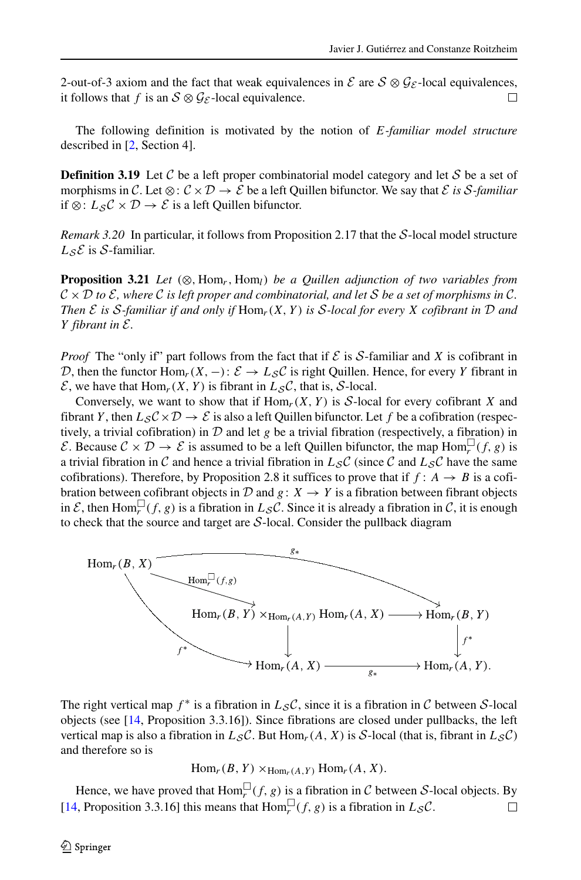2-out-of-3 axiom and the fact that weak equivalences in  $\mathcal{E}$  are  $\mathcal{S} \otimes \mathcal{G}_{\mathcal{E}}$ -local equivalences, it follows that f is an  $S \otimes \mathcal{G}_{\mathcal{E}}$ -local equivalence.  $\Box$ 

The following definition is motivated by the notion of E*-familiar model structure* described in [\[2,](#page-22-10) Section 4].

**Definition 3.19** Let C be a left proper combinatorial model category and let S be a set of morphisms in C. Let  $\otimes : \mathcal{C} \times \mathcal{D} \to \mathcal{E}$  be a left Quillen bifunctor. We say that  $\mathcal{E}$  *is* S-familiar if ⊗:  $L_S C \times D \rightarrow \mathcal{E}$  is a left Quillen bifunctor.

*Remark 3.20* In particular, it follows from Proposition 2.17 that the S-local model structure  $L_{\mathcal{S}}\mathcal{E}$  is S-familiar.

**Proposition 3.21** *Let*  $(\otimes, \text{Hom}_r, \text{Hom}_l)$  *be a Quillen adjunction of two variables from*  $\mathcal{C} \times \mathcal{D}$  to  $\mathcal{E}$ , where  $\mathcal{C}$  *is left proper and combinatorial, and let*  $\mathcal{S}$  *be a set of morphisms in*  $\mathcal{C}$ *. Then*  $\mathcal E$  *is*  $\mathcal S$ *-familiar if and only if*  $\text{Hom}_r(X, Y)$  *is*  $\mathcal S$ *-local for every*  $X$  *cofibrant in*  $\mathcal D$  *and* Y *fibrant in* E*.*

*Proof* The "only if" part follows from the fact that if  $\mathcal E$  is S-familiar and X is cofibrant in D, then the functor  $\text{Hom}_r(X, -): \mathcal{E} \to L_{\mathcal{S}}\mathcal{C}$  is right Quillen. Hence, for every Y fibrant in  $\mathcal{E}$ , we have that Hom<sub>r</sub>(X, Y) is fibrant in  $L_{\mathcal{S}}\mathcal{C}$ , that is, S-local.

Conversely, we want to show that if  $\text{Hom}_r(X, Y)$  is S-local for every cofibrant X and fibrant Y, then  $L_S C \times D \to \mathcal{E}$  is also a left Quillen bifunctor. Let f be a cofibration (respectively, a trivial cofibration) in  $D$  and let g be a trivial fibration (respectively, a fibration) in E. Because  $C \times D \to E$  is assumed to be a left Quillen bifunctor, the map  $\text{Hom}_r^{\square}(f, g)$  is a trivial fibration in C and hence a trivial fibration in  $L_S C$  (since C and  $L_S C$  have the same cofibrations). Therefore, by Proposition 2.8 it suffices to prove that if  $f: A \rightarrow B$  is a cofibration between cofibrant objects in D and  $g: X \rightarrow Y$  is a fibration between fibrant objects in  $\mathcal{E}$ , then Hom $\Box(f, g)$  is a fibration in  $L_{\mathcal{S}}\mathcal{C}$ . Since it is already a fibration in  $\mathcal{C}$ , it is enough to check that the source and target are  $S$ -local. Consider the pullback diagram



The right vertical map  $f^*$  is a fibration in  $L_S C$ , since it is a fibration in C between S-local objects (see [\[14,](#page-22-8) Proposition 3.3.16]). Since fibrations are closed under pullbacks, the left vertical map is also a fibration in  $L_S C$ . But Hom<sub>r</sub>(A, X) is S-local (that is, fibrant in  $L_S C$ ) and therefore so is

$$
Homr(B, Y) \times_{Homr(A, Y)} Homr(A, X).
$$

Hence, we have proved that  $\text{Hom}_r^{\square}(f, g)$  is a fibration in C between S-local objects. By [\[14,](#page-22-8) Proposition 3.3.16] this means that  $\text{Hom}_r^{\square}(f, g)$  is a fibration in  $L_S C$ .  $\Box$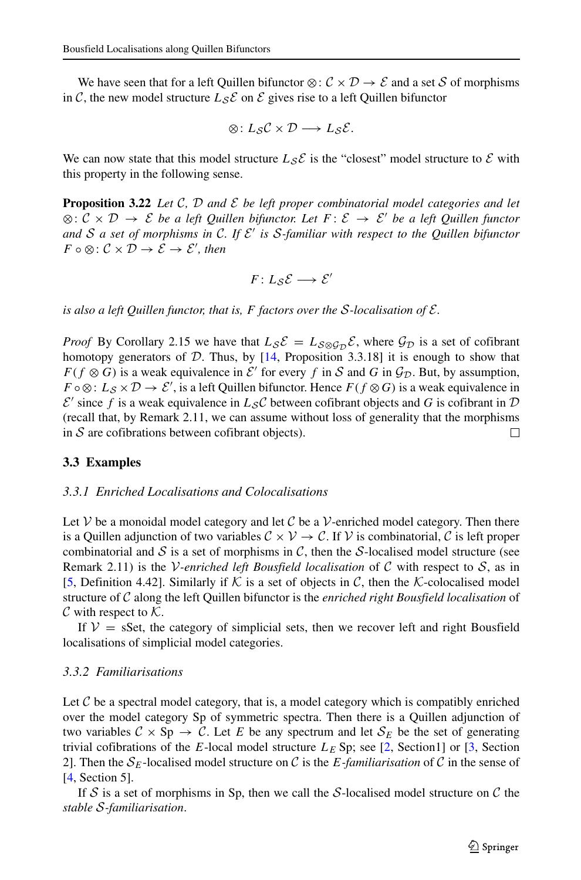We have seen that for a left Quillen bifunctor  $\otimes$ :  $\mathcal{C} \times \mathcal{D} \rightarrow \mathcal{E}$  and a set S of morphisms in C, the new model structure  $L_{\mathcal{S}}\mathcal{E}$  on  $\mathcal{E}$  gives rise to a left Quillen bifunctor

$$
\otimes: L_{\mathcal{S}}\mathcal{C} \times \mathcal{D} \longrightarrow L_{\mathcal{S}}\mathcal{E}.
$$

We can now state that this model structure  $L_S \mathcal{E}$  is the "closest" model structure to  $\mathcal{E}$  with this property in the following sense.

**Proposition 3.22** *Let* C*,* D *and* E *be left proper combinatorial model categories and let* ⊗: C × D → E *be a left Quillen bifunctor. Let* F : E → E ′ *be a left Quillen functor and* S *a set of morphisms in* C*. If* E ′ *is* S*-familiar with respect to the Quillen bifunctor*  $F \circ \otimes : \mathcal{C} \times \mathcal{D} \rightarrow \mathcal{E} \rightarrow \mathcal{E}'$ , then

$$
F\colon L_{\mathcal{S}}\mathcal{E}\longrightarrow \mathcal{E}'
$$

*is also a left Quillen functor, that is,* F *factors over the* S*-localisation of* E*.*

*Proof* By Corollary 2.15 we have that  $L_S \mathcal{E} = L_{S \otimes \mathcal{G}_D} \mathcal{E}$ , where  $\mathcal{G}_D$  is a set of cofibrant homotopy generators of  $D$ . Thus, by  $[14,$  Proposition 3.3.18] it is enough to show that  $F(f \otimes G)$  is a weak equivalence in  $\mathcal{E}'$  for every f in S and G in  $\mathcal{G}_{\mathcal{D}}$ . But, by assumption,  $F \circ \otimes: L_S \times \mathcal{D} \to \mathcal{E}'$ , is a left Quillen bifunctor. Hence  $F(f \otimes G)$  is a weak equivalence in  $\mathcal{E}'$  since f is a weak equivalence in  $L_{\mathcal{S}}\mathcal{C}$  between cofibrant objects and G is cofibrant in  $\mathcal D$ (recall that, by Remark 2.11, we can assume without loss of generality that the morphisms in  $S$  are cofibrations between cofibrant objects). □

#### **3.3 Examples**

#### *3.3.1 Enriched Localisations and Colocalisations*

Let  $V$  be a monoidal model category and let  $C$  be a  $V$ -enriched model category. Then there is a Quillen adjunction of two variables  $C \times V \rightarrow C$ . If V is combinatorial, C is left proper combinatorial and  $S$  is a set of morphisms in  $C$ , then the S-localised model structure (see Remark 2.11) is the *V-enriched left Bousfield localisation* of C with respect to  $S$ , as in [\[5,](#page-22-1) Definition 4.42]. Similarly if K is a set of objects in C, then the K-colocalised model structure of C along the left Quillen bifunctor is the *enriched right Bousfield localisation* of  $\mathcal C$  with respect to  $\mathcal K$ .

If  $V = sSet$ , the category of simplicial sets, then we recover left and right Bousfield localisations of simplicial model categories.

#### *3.3.2 Familiarisations*

Let  $C$  be a spectral model category, that is, a model category which is compatibly enriched over the model category Sp of symmetric spectra. Then there is a Quillen adjunction of two variables  $C \times Sp \to C$ . Let E be any spectrum and let  $S_E$  be the set of generating trivial cofibrations of the E-local model structure  $L<sub>E</sub>$  Sp; see [\[2,](#page-22-10) Section1] or [\[3,](#page-22-3) Section 2]. Then the  $S_E$ -localised model structure on C is the E-familiarisation of C in the sense of [\[4,](#page-22-0) Section 5].

If S is a set of morphisms in Sp, then we call the S-localised model structure on C the *stable* S*-familiarisation*.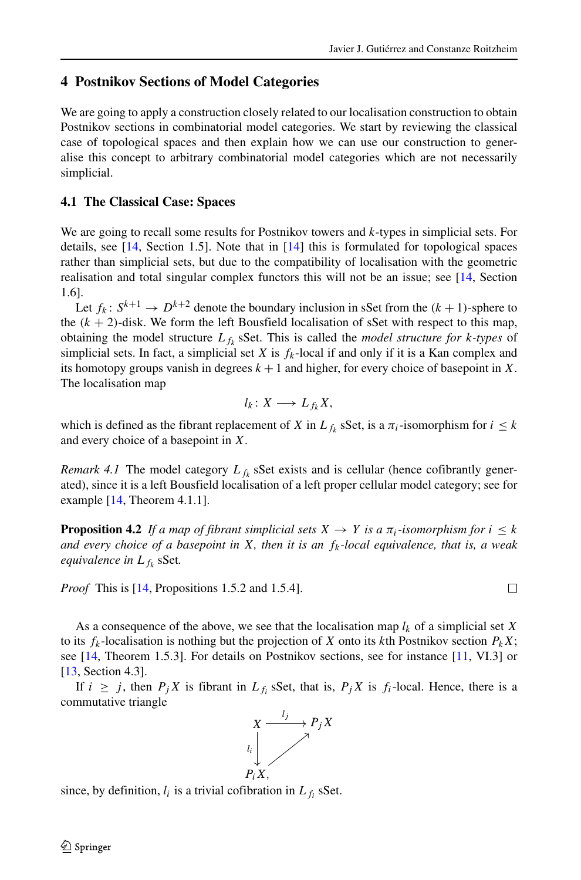$\Box$ 

#### **4 Postnikov Sections of Model Categories**

We are going to apply a construction closely related to our localisation construction to obtain Postnikov sections in combinatorial model categories. We start by reviewing the classical case of topological spaces and then explain how we can use our construction to generalise this concept to arbitrary combinatorial model categories which are not necessarily simplicial.

#### **4.1 The Classical Case: Spaces**

We are going to recall some results for Postnikov towers and  $k$ -types in simplicial sets. For details, see  $[14, \text{Section } 1.5]$ . Note that in  $[14]$  this is formulated for topological spaces rather than simplicial sets, but due to the compatibility of localisation with the geometric realisation and total singular complex functors this will not be an issue; see [\[14,](#page-22-8) Section 1.6].

Let  $f_k: S^{k+1} \to D^{k+2}$  denote the boundary inclusion in sSet from the  $(k+1)$ -sphere to the  $(k + 2)$ -disk. We form the left Bousfield localisation of sSet with respect to this map, obtaining the model structure  $L_{f_k}$  sSet. This is called the *model structure for*  $k$ -types of simplicial sets. In fact, a simplicial set X is  $f_k$ -local if and only if it is a Kan complex and its homotopy groups vanish in degrees  $k + 1$  and higher, for every choice of basepoint in X. The localisation map

$$
l_k\colon X\longrightarrow L_{f_k}X,
$$

which is defined as the fibrant replacement of X in  $L_{f_k}$  sSet, is a  $\pi_i$ -isomorphism for  $i \leq k$ and every choice of a basepoint in X.

*Remark 4.1* The model category  $L_{f_k}$  sSet exists and is cellular (hence cofibrantly generated), since it is a left Bousfield localisation of a left proper cellular model category; see for example [\[14,](#page-22-8) Theorem 4.1.1].

**Proposition 4.2** *If a map of fibrant simplicial sets*  $X \to Y$  *is a*  $\pi_i$ *-isomorphism for*  $i \leq k$ *and every choice of a basepoint in* X*, then it is an* fk*-local equivalence, that is, a weak equivalence in L* <sub>fk</sub> sSet.

*Proof* This is [\[14,](#page-22-8) Propositions 1.5.2 and 1.5.4].

As a consequence of the above, we see that the localisation map  $l_k$  of a simplicial set X to its  $f_k$ -localisation is nothing but the projection of X onto its kth Postnikov section  $P_kX$ ; see [\[14,](#page-22-8) Theorem 1.5.3]. For details on Postnikov sections, see for instance [\[11,](#page-22-11) VI.3] or [\[13,](#page-22-12) Section 4.3].

If  $i \geq j$ , then  $P_j X$  is fibrant in  $L_{f_i}$  sSet, that is,  $P_j X$  is  $f_i$ -local. Hence, there is a commutative triangle



since, by definition,  $l_i$  is a trivial cofibration in  $L_{f_i}$  sSet.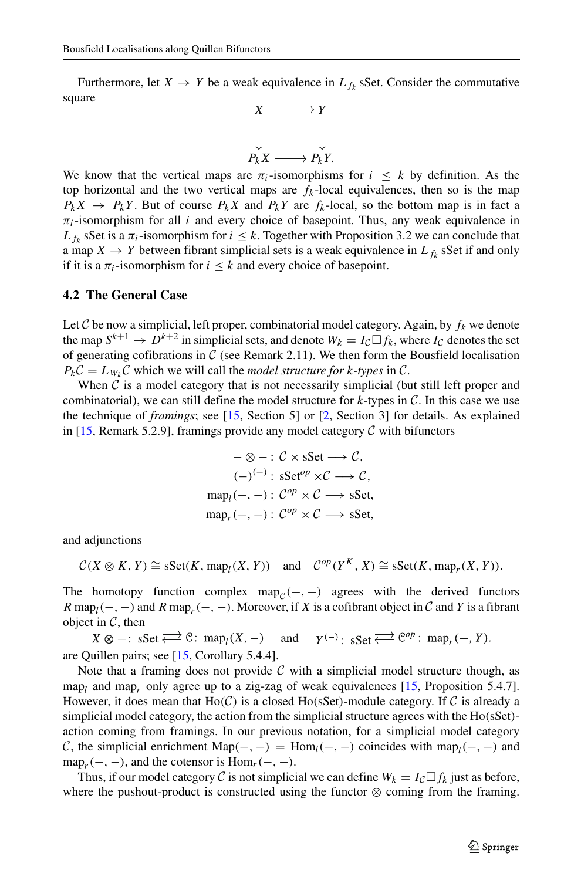Furthermore, let  $X \to Y$  be a weak equivalence in  $L_{f_k}$  sSet. Consider the commutative square



We know that the vertical maps are  $\pi_i$ -isomorphisms for  $i \leq k$  by definition. As the top horizontal and the two vertical maps are  $f_k$ -local equivalences, then so is the map  $P_k X \to P_k Y$ . But of course  $P_k X$  and  $P_k Y$  are  $f_k$ -local, so the bottom map is in fact a  $\pi_i$ -isomorphism for all i and every choice of basepoint. Thus, any weak equivalence in  $L_{f_k}$  sSet is a  $\pi_i$ -isomorphism for  $i \leq k$ . Together with Proposition 3.2 we can conclude that a map  $X \to Y$  between fibrant simplicial sets is a weak equivalence in  $L_{f_k}$  sSet if and only if it is a  $\pi_i$ -isomorphism for  $i \leq k$  and every choice of basepoint.

#### **4.2 The General Case**

Let C be now a simplicial, left proper, combinatorial model category. Again, by  $f_k$  we denote the map  $S^{k+1} \to D^{k+2}$  in simplicial sets, and denote  $W_k = I_c \square f_k$ , where  $I_c$  denotes the set of generating cofibrations in  $C$  (see Remark 2.11). We then form the Bousfield localisation  $P_kC = L_{W_k}C$  which we will call the *model structure for k-types* in C.

When  $\mathcal C$  is a model category that is not necessarily simplicial (but still left proper and combinatorial), we can still define the model structure for  $k$ -types in  $\mathcal C$ . In this case we use the technique of *framings*; see [\[15,](#page-23-0) Section 5] or [\[2,](#page-22-10) Section 3] for details. As explained in  $[15,$  Remark 5.2.9], framings provide any model category  $\mathcal C$  with bifunctors

$$
-\otimes - : C \times \text{sSet} \longrightarrow C,
$$
  

$$
(-)^{(-)} : \text{sSet}^{op} \times C \longrightarrow C,
$$
  

$$
\text{map}_l(-,-) : C^{op} \times C \longrightarrow \text{sSet},
$$
  

$$
\text{map}_r(-,-) : C^{op} \times C \longrightarrow \text{sSet},
$$

and adjunctions

$$
C(X \otimes K, Y) \cong \text{sset}(K, \text{map}_l(X, Y))
$$
 and  $C^{op}(Y^K, X) \cong \text{sset}(K, \text{map}_r(X, Y)).$ 

The homotopy function complex map<sub> $C$ </sub> $(-, -)$  agrees with the derived functors  $R \text{ map}_l(-,-)$  and  $R \text{ map}_r(-,-)$ . Moreover, if X is a cofibrant object in C and Y is a fibrant object in C, then<br>  $X \otimes -$ :  $\text{sset} \Longleftrightarrow \mathbb{C}$ :  $\text{map}_l(X, -)$  and  $\gamma^{(-)}$ :  $\text{sset} \Longleftrightarrow \mathbb{C}^{op}$ :  $\text{map}_r(-, Y)$ .

are Quillen pairs; see [\[15,](#page-23-0) Corollary 5.4.4].

Note that a framing does not provide  $C$  with a simplicial model structure though, as  $map_l$  and map<sub>r</sub> only agree up to a zig-zag of weak equivalences [\[15,](#page-23-0) Proposition 5.4.7]. However, it does mean that Ho( $C$ ) is a closed Ho(sSet)-module category. If C is already a simplicial model category, the action from the simplicial structure agrees with the Ho(sSet)action coming from framings. In our previous notation, for a simplicial model category C, the simplicial enrichment Map(-, -) = Hom<sub>l</sub>(-, -) coincides with map<sub>l</sub>(-, -) and map<sub>r</sub> $(-, -)$ , and the cotensor is Hom<sub>r</sub> $(-, -)$ .

Thus, if our model category C is not simplicial we can define  $W_k = I_c \square f_k$  just as before, where the pushout-product is constructed using the functor  $\otimes$  coming from the framing.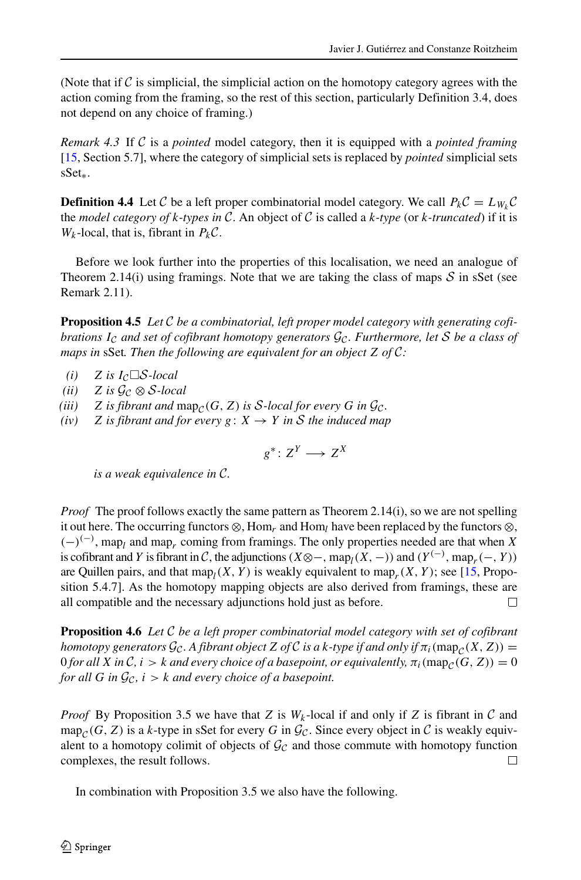(Note that if  $\mathcal C$  is simplicial, the simplicial action on the homotopy category agrees with the action coming from the framing, so the rest of this section, particularly Definition 3.4, does not depend on any choice of framing.)

*Remark 4.3* If C is a *pointed* model category, then it is equipped with a *pointed framing* [\[15,](#page-23-0) Section 5.7], where the category of simplicial sets is replaced by *pointed* simplicial sets sSet∗.

**Definition 4.4** Let C be a left proper combinatorial model category. We call  $P_kC = L_{W_k}C$ the *model category of* k*-types in* C. An object of C is called a k*-type* (or k*-truncated*) if it is  $W_k$ -local, that is, fibrant in  $P_kC$ .

Before we look further into the properties of this localisation, we need an analogue of Theorem 2.14(i) using framings. Note that we are taking the class of maps  $S$  in sSet (see Remark 2.11).

**Proposition 4.5** *Let* C *be a combinatorial, left proper model category with generating cofibrations*  $I_c$  *and set of cofibrant homotopy generators*  $\mathcal{G}_c$ *. Furthermore, let* S *be a class of maps in* sSet*. Then the following are equivalent for an object* Z *of* C*:*

- $(i)$  Z is  $I_{\mathcal{C}} \square \mathcal{S}\text{-}local$
- *(ii)*  $Z$  *is*  $\mathcal{G}_c \otimes \mathcal{S}$ *-local*
- (*iii*)  $Z$  *is fibrant and*  $map_{\mathcal{C}}(G, Z)$  *is*  $S$ *-local for every*  $G$  *in*  $\mathcal{G}_{\mathcal{C}}$ *.*
- *(iv)* Z *is fibrant and for every*  $g: X \rightarrow Y$  *in* S *the induced map*

$$
g^*\colon Z^Y\longrightarrow Z^X
$$

*is a weak equivalence in* C*.*

*Proof* The proof follows exactly the same pattern as Theorem 2.14(i), so we are not spelling it out here. The occurring functors  $\otimes$ , Hom<sub>r</sub> and Hom<sub>l</sub> have been replaced by the functors  $\otimes$ ,  $(-)^{(-)}$ , map<sub>l</sub> and map<sub>r</sub> coming from framings. The only properties needed are that when X is cofibrant and Y is fibrant in C, the adjunctions (X⊗−, map<sub>I</sub>(X, −)) and (Y<sup>(−)</sup>, map<sub>r</sub>(−, Y)) are Quillen pairs, and that  $\text{map}_l(X, Y)$  is weakly equivalent to  $\text{map}_r(X, Y)$ ; see [\[15,](#page-23-0) Proposition 5.4.7]. As the homotopy mapping objects are also derived from framings, these are all compatible and the necessary adjunctions hold just as before. П

**Proposition 4.6** *Let* C *be a left proper combinatorial model category with set of cofibrant homotopy generators*  $\mathcal{G}_{\mathcal{C}}$ . A fibrant object Z of  $\mathcal{C}$  is a k-type if and only if  $\pi_i(\text{map}_{\mathcal{C}}(X, Z))$  =  $0$  for all  $X$  in  $\mathcal{C}$ ,  $i > k$  and every choice of a basepoint, or equivalently,  $\pi_i(\text{map}_\mathcal{C}(G, Z)) = 0$ *for all* G *in*  $\mathcal{G}_{\mathcal{C}}$ *, i* > k *and every choice of a basepoint.* 

*Proof* By Proposition 3.5 we have that Z is  $W_k$ -local if and only if Z is fibrant in C and  $map_{\mathcal{C}}(G, Z)$  is a k-type in sSet for every G in  $\mathcal{G}_{\mathcal{C}}$ . Since every object in C is weakly equivalent to a homotopy colimit of objects of  $\mathcal{G}_{\mathcal{C}}$  and those commute with homotopy function complexes, the result follows.  $\Box$ 

In combination with Proposition 3.5 we also have the following.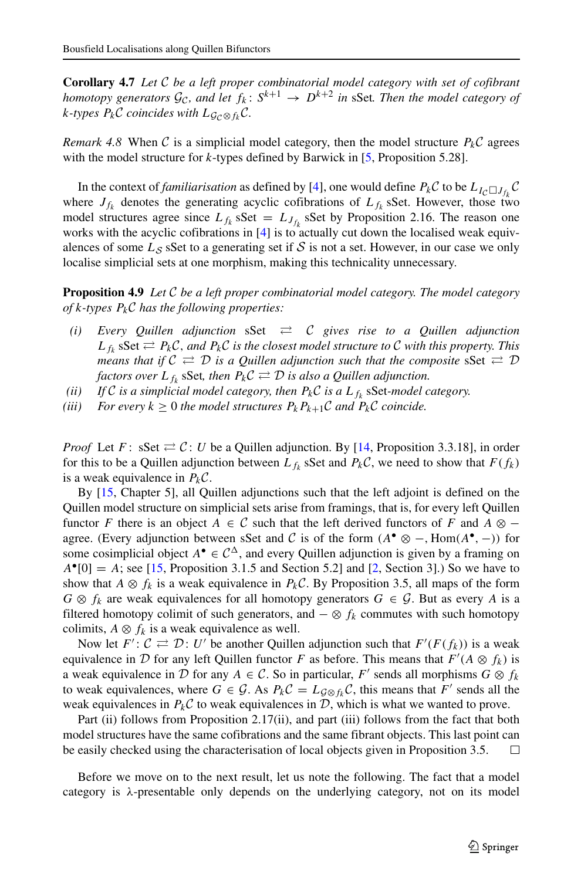**Corollary 4.7** *Let* C *be a left proper combinatorial model category with set of cofibrant homotopy generators*  $\mathcal{G}_{\mathcal{C}}$ , and let  $f_k \colon S^{k+1} \to D^{k+2}$  in sSet. Then the model category of *k*-types  $P_kC$  coincides with  $L_{G_C \otimes f_k}C$ .

*Remark 4.8* When C is a simplicial model category, then the model structure  $P_kC$  agrees with the model structure for  $k$ -types defined by Barwick in  $[5,$  Proposition 5.28].

In the context of *familiarisation* as defined by [\[4\]](#page-22-0), one would define  $P_k C$  to be  $L_{I_C \square J_{f_k}} C$ where  $J_{f_k}$  denotes the generating acyclic cofibrations of  $L_{f_k}$  sSet. However, those two model structures agree since  $L_{f_k}$  sSet =  $L_{J_{f_k}}$  sSet by Proposition 2.16. The reason one works with the acyclic cofibrations in [\[4\]](#page-22-0) is to actually cut down the localised weak equivalences of some  $L_S$  sSet to a generating set if S is not a set. However, in our case we only localise simplicial sets at one morphism, making this technicality unnecessary.

**Proposition 4.9** *Let* C *be a left proper combinatorial model category. The model category of* k*-types* PkC *has the following properties:*

- *(i) Every Quillen adjunction* sSet ⇄ C *gives rise to a Quillen adjunction*  $L_{f_k}$  sSet  $\rightleftarrows P_k\mathcal{C}$ , and  $P_k\mathcal{C}$  *is the closest model structure to*  $\mathcal C$  *with this property. This means that if*  $C \rightleftarrows D$  *is a Quillen adjunction such that the composite*  $sSet \rightleftarrows D$ factors over  $L_{f_k}$  sSet, then  $P_k \mathcal{C} \rightleftarrows \mathcal{D}$  is also a Quillen adjunction.
- (*ii*) If C is a simplicial model category, then  $P_k\mathcal{C}$  is a  $L_{f_k}$  sSet-model category.
- *(iii)* For every  $k \geq 0$  *the model structures*  $P_k P_{k+1} C$  *and*  $P_k C$  *coincide.*

*Proof* Let F: sSet  $\rightleftarrows$  C: U be a Quillen adjunction. By [\[14,](#page-22-8) Proposition 3.3.18], in order for this to be a Quillen adjunction between  $L_{f_k}$  sSet and  $P_k\mathcal{C}$ , we need to show that  $F(f_k)$ is a weak equivalence in  $P_kC$ .

By [\[15,](#page-23-0) Chapter 5], all Quillen adjunctions such that the left adjoint is defined on the Quillen model structure on simplicial sets arise from framings, that is, for every left Quillen functor F there is an object  $A \in \mathcal{C}$  such that the left derived functors of F and  $A \otimes$ agree. (Every adjunction between sSet and C is of the form  $(A^{\bullet} \otimes -, \text{Hom}(A^{\bullet}, -))$  for some cosimplicial object  $A^{\bullet} \in C^{\Delta}$ , and every Quillen adjunction is given by a framing on  $A^{\bullet}[0] = A$ ; see [\[15,](#page-23-0) Proposition 3.1.5 and Section 5.2] and [\[2,](#page-22-10) Section 3].) So we have to show that  $A \otimes f_k$  is a weak equivalence in  $P_k \mathcal{C}$ . By Proposition 3.5, all maps of the form  $G \otimes f_k$  are weak equivalences for all homotopy generators  $G \in \mathcal{G}$ . But as every A is a filtered homotopy colimit of such generators, and  $-\otimes f_k$  commutes with such homotopy colimits,  $A \otimes f_k$  is a weak equivalence as well.

Now let  $F' : C \rightleftarrows \mathcal{D} : U'$  be another Quillen adjunction such that  $F'(F(f_k))$  is a weak equivalence in  $D$  for any left Quillen functor F as before. This means that  $F'(A \otimes f_k)$  is a weak equivalence in D for any  $A \in \mathcal{C}$ . So in particular, F' sends all morphisms  $G \otimes f_k$ to weak equivalences, where  $G \in \mathcal{G}$ . As  $P_k \mathcal{C} = L_{\mathcal{G} \otimes f_k} \mathcal{C}$ , this means that  $F'$  sends all the weak equivalences in  $P_k\mathcal{C}$  to weak equivalences in  $\mathcal{D}$ , which is what we wanted to prove.

Part (ii) follows from Proposition 2.17(ii), and part (iii) follows from the fact that both model structures have the same cofibrations and the same fibrant objects. This last point can be easily checked using the characterisation of local objects given in Proposition 3.5. □

Before we move on to the next result, let us note the following. The fact that a model category is  $\lambda$ -presentable only depends on the underlying category, not on its model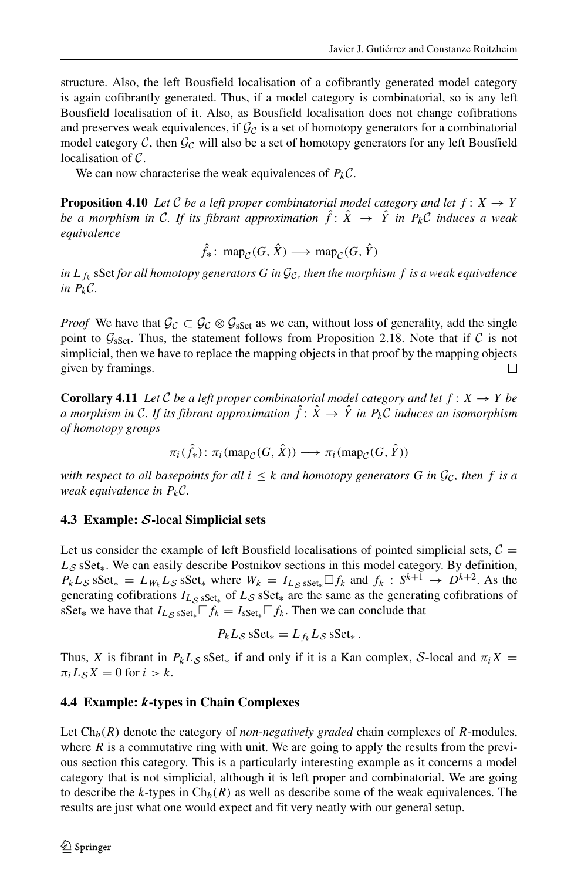structure. Also, the left Bousfield localisation of a cofibrantly generated model category is again cofibrantly generated. Thus, if a model category is combinatorial, so is any left Bousfield localisation of it. Also, as Bousfield localisation does not change cofibrations and preserves weak equivalences, if  $\mathcal{G}_c$  is a set of homotopy generators for a combinatorial model category C, then  $\mathcal{G}_C$  will also be a set of homotopy generators for any left Bousfield localisation of C.

We can now characterise the weak equivalences of  $P_kC$ .

**Proposition 4.10** *Let* C *be a left proper combinatorial model category and let*  $f: X \rightarrow Y$ *be a morphism in C. If its fibrant approximation*  $\hat{f}$ :  $\hat{X} \rightarrow \hat{Y}$  *in*  $P_k C$  *induces a weak equivalence*

 $\hat{f}_*$ : map<sub>C</sub>(G,  $\hat{X}$ )  $\longrightarrow$  map<sub>C</sub>(G,  $\hat{Y}$ )

in  $L_{f_k}$  s $\operatorname{Set}$  *for all homotopy generators*  $G$  *in*  $\mathcal{G}_\mathcal{C}$ *, then the morphism*  $f$  *is a weak equivalence in*  $P_kC$ *.* 

*Proof* We have that  $\mathcal{G}_{\mathcal{C}} \subset \mathcal{G}_{\mathcal{C}} \otimes \mathcal{G}_{\mathrm{sSet}}$  as we can, without loss of generality, add the single point to  $\mathcal{G}_{\text{sSet}}$ . Thus, the statement follows from Proposition 2.18. Note that if  $\mathcal C$  is not simplicial, then we have to replace the mapping objects in that proof by the mapping objects given by framings. П

**Corollary 4.11** *Let* C *be a left proper combinatorial model category and let*  $f: X \rightarrow Y$  *be a* morphism in C. If its fibrant approximation  $\hat{f}$ :  $\hat{X} \to \hat{Y}$  in  $P_k\mathcal{C}$  induces an isomorphism *of homotopy groups*

$$
\pi_i(\hat{f}_*): \pi_i(\text{map}_C(G, \hat{X})) \longrightarrow \pi_i(\text{map}_C(G, \hat{Y}))
$$

*with respect to all basepoints for all*  $i < k$  *and homotopy generators* G *in*  $G_c$ , *then* f *is a weak equivalence in* PkC*.*

#### **4.3 Example:** S**-local Simplicial sets**

Let us consider the example of left Bousfield localisations of pointed simplicial sets,  $C =$ L<sub>S</sub> sSet<sub>\*</sub>. We can easily describe Postnikov sections in this model category. By definition,  $P_k L_S$  sSet<sub>\*</sub> =  $L_{W_k} L_S$  sSet<sub>\*</sub> where  $W_k = I_{L_S}$  sset<sub>\*</sub> $\Box f_k$  and  $f_k : S^{k+1} \rightarrow D^{k+2}$ . As the generating cofibrations  $I_{L_{\mathcal{S}} S \text{Set}_*}$  of  $L_{\mathcal{S}} S \text{Set}_*$  are the same as the generating cofibrations of sSet<sub>\*</sub> we have that  $I_{L_{\mathcal{S}} S}$  sset<sub>\*</sub> $\Box f_k = I_{sSet_{*}} \Box f_k$ . Then we can conclude that

$$
P_k L_{\mathcal{S}} \, \text{sSet}_* = L_{f_k} L_{\mathcal{S}} \, \text{sSet}_* \, .
$$

Thus, X is fibrant in  $P_kL_S$  sSet<sub>\*</sub> if and only if it is a Kan complex, S-local and  $\pi_iX =$  $\pi_i L_S X = 0$  for  $i > k$ .

#### **4.4 Example:** k**-types in Chain Complexes**

Let  $\mathrm{Ch}_b(R)$  denote the category of *non-negatively graded* chain complexes of R-modules, where  $R$  is a commutative ring with unit. We are going to apply the results from the previous section this category. This is a particularly interesting example as it concerns a model category that is not simplicial, although it is left proper and combinatorial. We are going to describe the k-types in  $Ch_b(R)$  as well as describe some of the weak equivalences. The results are just what one would expect and fit very neatly with our general setup.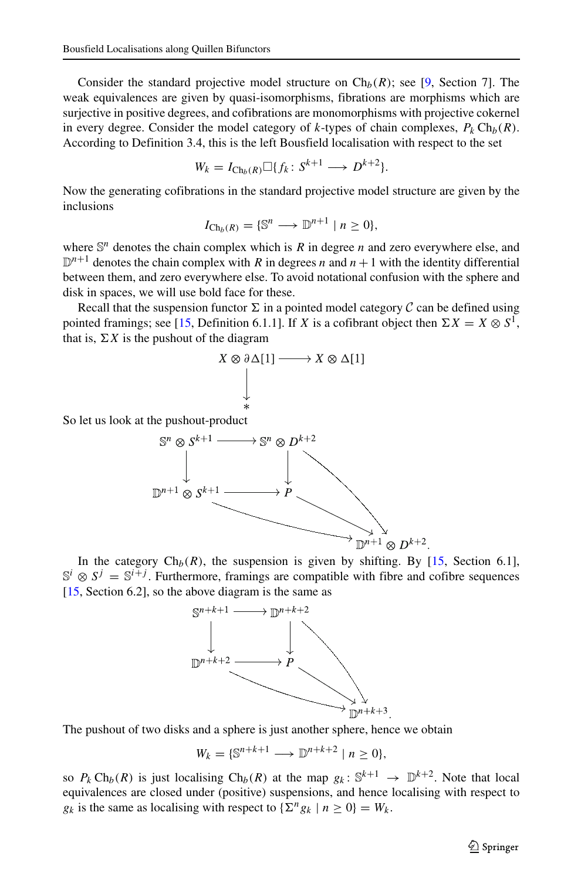Consider the standard projective model structure on  $\mathrm{Ch}_b(R)$ ; see [\[9,](#page-22-13) Section 7]. The weak equivalences are given by quasi-isomorphisms, fibrations are morphisms which are surjective in positive degrees, and cofibrations are monomorphisms with projective cokernel in every degree. Consider the model category of k-types of chain complexes,  $P_k Ch_b(R)$ . According to Definition 3.4, this is the left Bousfield localisation with respect to the set

$$
W_k = I_{\text{Ch}_b(R)} \square \{ f_k \colon S^{k+1} \longrightarrow D^{k+2} \}.
$$

Now the generating cofibrations in the standard projective model structure are given by the inclusions

$$
I_{\text{Ch}_b(R)} = \{ \mathbb{S}^n \longrightarrow \mathbb{D}^{n+1} \mid n \geq 0 \},\
$$

where  $\mathbb{S}^n$  denotes the chain complex which is R in degree n and zero everywhere else, and  $\mathbb{D}^{n+1}$  denotes the chain complex with R in degrees n and  $n+1$  with the identity differential between them, and zero everywhere else. To avoid notational confusion with the sphere and disk in spaces, we will use bold face for these.

Recall that the suspension functor  $\Sigma$  in a pointed model category  $\mathcal C$  can be defined using pointed framings; see [\[15,](#page-23-0) Definition 6.1.1]. If X is a cofibrant object then  $\Sigma X = X \otimes S^1$ , that is,  $\Sigma X$  is the pushout of the diagram



So let us look at the pushout-product



In the category  $\text{Ch}_b(R)$ , the suspension is given by shifting. By [\[15,](#page-23-0) Section 6.1],  $\mathbb{S}^i \otimes S^j = \mathbb{S}^{i+j}$ . Furthermore, framings are compatible with fibre and cofibre sequences  $[15, Section 6.2]$  $[15, Section 6.2]$ , so the above diagram is the same as



The pushout of two disks and a sphere is just another sphere, hence we obtain

$$
W_k = \{ \mathbb{S}^{n+k+1} \longrightarrow \mathbb{D}^{n+k+2} \mid n \ge 0 \},\
$$

so  $P_k \text{Ch}_b(R)$  is just localising  $\text{Ch}_b(R)$  at the map  $g_k: \mathbb{S}^{k+1} \to \mathbb{D}^{k+2}$ . Note that local equivalences are closed under (positive) suspensions, and hence localising with respect to  $g_k$  is the same as localising with respect to  $\{\sum^n g_k | n \geq 0\} = W_k$ .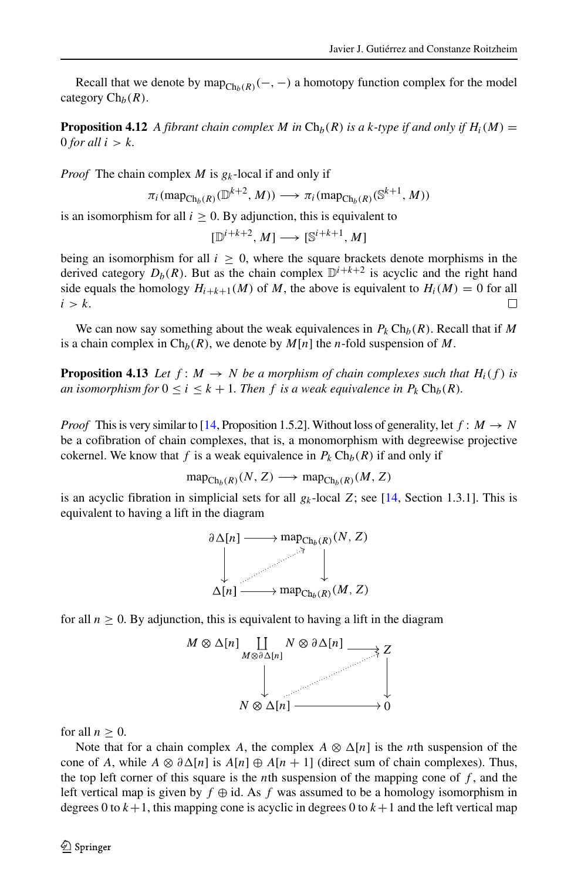Recall that we denote by  $map_{Ch_b(R)}(-, -)$  a homotopy function complex for the model category  $Ch_b(R)$ .

**Proposition 4.12** *A fibrant chain complex M in*  $\text{Ch}_b(R)$  *is a k-type if and only if*  $H_i(M)$  = 0 *for all*  $i > k$ .

*Proof* The chain complex  $M$  is  $g_k$ -local if and only if

$$
\pi_i(\text{map}_{\text{Ch}_b(R)}(\mathbb{D}^{k+2}, M)) \longrightarrow \pi_i(\text{map}_{\text{Ch}_b(R)}(\mathbb{S}^{k+1}, M))
$$

is an isomorphism for all  $i \geq 0$ . By adjunction, this is equivalent to

$$
[\mathbb{D}^{i+k+2},M]\longrightarrow [\mathbb{S}^{i+k+1},M]
$$

being an isomorphism for all  $i \geq 0$ , where the square brackets denote morphisms in the derived category  $D_b(R)$ . But as the chain complex  $\mathbb{D}^{i+k+2}$  is acyclic and the right hand side equals the homology  $H_{i+k+1}(M)$  of M, the above is equivalent to  $H_i(M) = 0$  for all  $i > k$ .  $i > k$ .

We can now say something about the weak equivalences in  $P_k Ch_b(R)$ . Recall that if M is a chain complex in  $\text{Ch}_b(R)$ , we denote by  $M[n]$  the n-fold suspension of M.

**Proposition 4.13** *Let*  $f : M \to N$  *be a morphism of chain complexes such that*  $H_i(f)$  *is an isomorphism for*  $0 \le i \le k + 1$ *. Then f is a weak equivalence in*  $P_k Ch_b(R)$ *.* 

*Proof* This is very similar to [\[14,](#page-22-8) Proposition 1.5.2]. Without loss of generality, let  $f : M \to N$ be a cofibration of chain complexes, that is, a monomorphism with degreewise projective cokernel. We know that f is a weak equivalence in  $P_k Ch_b(R)$  if and only if

$$
\operatorname{map}_{\operatorname{Ch}_b(R)}(N, Z) \longrightarrow \operatorname{map}_{\operatorname{Ch}_b(R)}(M, Z)
$$

<span id="page-22-4"></span>is an acyclic fibration in simplicial sets for all  $g_k$ -local Z; see [\[14,](#page-22-8) Section 1.3.1]. This is equivalent to having a lift in the diagram



<span id="page-22-10"></span><span id="page-22-9"></span><span id="page-22-7"></span><span id="page-22-6"></span><span id="page-22-3"></span><span id="page-22-1"></span><span id="page-22-0"></span>for all  $n \geq 0$ . By adjunction, this is equivalent to having a lift in the diagram



<span id="page-22-13"></span><span id="page-22-11"></span><span id="page-22-5"></span>for all  $n \geq 0$ .

<span id="page-22-12"></span><span id="page-22-8"></span><span id="page-22-2"></span>Note that for a chain complex A, the complex  $A \otimes \Delta[n]$  is the *n*th suspension of the cone of A, while  $A \otimes \partial \Delta[n]$  is  $A[n] \oplus A[n+1]$  (direct sum of chain complexes). Thus, the top left corner of this square is the *n*th suspension of the mapping cone of  $f$ , and the left vertical map is given by  $f \oplus id$ . As f was assumed to be a homology isomorphism in degrees 0 to  $k+1$ , this mapping cone is acyclic in degrees 0 to  $k+1$  and the left vertical map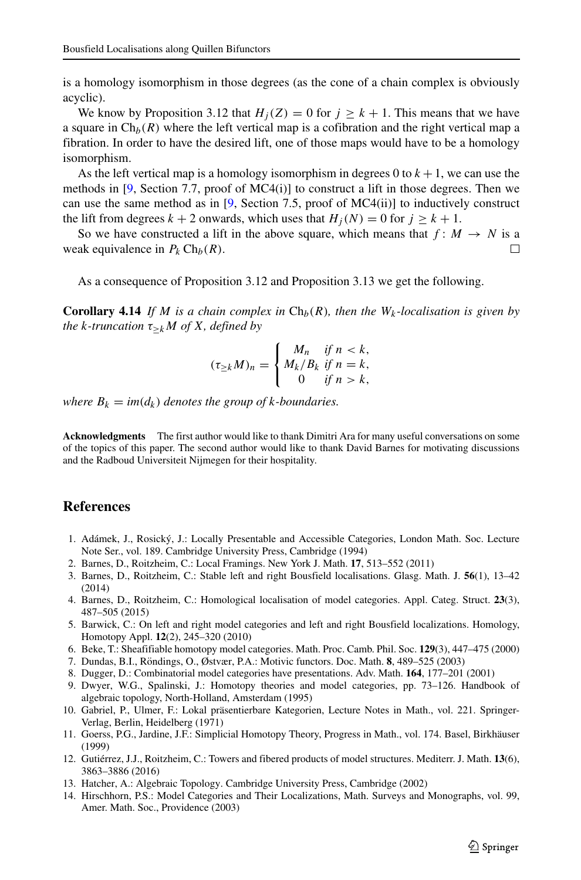<span id="page-23-0"></span>is a homology isomorphism in those degrees (as the cone of a chain complex is obviously acyclic).

<span id="page-23-7"></span><span id="page-23-5"></span><span id="page-23-4"></span>We know by Proposition 3.12 that  $H_i(Z) = 0$  for  $j \ge k + 1$ . This means that we have a square in  $\text{Ch}_b(R)$  where the left vertical map is a cofibration and the right vertical map a fibration. In order to have the desired lift, one of those maps would have to be a homology isomorphism.

<span id="page-23-2"></span><span id="page-23-1"></span>As the left vertical map is a homology isomorphism in degrees 0 to  $k + 1$ , we can use the methods in  $[9,$  Section 7.7, proof of MC4(i)] to construct a lift in those degrees. Then we can use the same method as in [\[9,](#page-22-13) Section 7.5, proof of MC4(ii)] to inductively construct the lift from degrees  $k + 2$  onwards, which uses that  $H_i(N) = 0$  for  $i > k + 1$ .

<span id="page-23-6"></span><span id="page-23-3"></span>So we have constructed a lift in the above square, which means that  $f: M \to N$  is a weak equivalence in  $P_k Ch_b(R)$ . П

As a consequence of Proposition 3.12 and Proposition 3.13 we get the following.

**Corollary 4.14** *If M is a chain complex in*  $Ch_b(R)$ *, then the*  $W_k$ -localisation is given by *the* k-truncation  $\tau_{\geq k}M$  of X, defined by

$$
(\tau_{\geq k}M)_n = \begin{cases} M_n & \text{if } n < k, \\ M_k/B_k & \text{if } n = k, \\ 0 & \text{if } n > k, \end{cases}
$$

*where*  $B_k = im(d_k)$  *denotes the group of k-boundaries.* 

**Acknowledgments** The first author would like to thank Dimitri Ara for many useful conversations on some of the topics of this paper. The second author would like to thank David Barnes for motivating discussions and the Radboud Universiteit Nijmegen for their hospitality.

#### **References**

- 1. Adámek, J., Rosický, J.: Locally Presentable and Accessible Categories, London Math. Soc. Lecture Note Ser., vol. 189. Cambridge University Press, Cambridge (1994)
- 2. Barnes, D., Roitzheim, C.: Local Framings. New York J. Math. **17**, 513–552 (2011)
- 3. Barnes, D., Roitzheim, C.: Stable left and right Bousfield localisations. Glasg. Math. J. **56**(1), 13–42 (2014)
- 4. Barnes, D., Roitzheim, C.: Homological localisation of model categories. Appl. Categ. Struct. **23**(3), 487–505 (2015)
- 5. Barwick, C.: On left and right model categories and left and right Bousfield localizations. Homology, Homotopy Appl. **12**(2), 245–320 (2010)
- 6. Beke, T.: Sheafifiable homotopy model categories. Math. Proc. Camb. Phil. Soc. **129**(3), 447–475 (2000)
- 7. Dundas, B.I., Röndings, O., Østvær, P.A.: Motivic functors. Doc. Math. 8, 489–525 (2003)
- 8. Dugger, D.: Combinatorial model categories have presentations. Adv. Math. **164**, 177–201 (2001)
- 9. Dwyer, W.G., Spalinski, J.: Homotopy theories and model categories, pp. 73–126. Handbook of algebraic topology, North-Holland, Amsterdam (1995)
- 10. Gabriel, P., Ulmer, F.: Lokal präsentierbare Kategorien, Lecture Notes in Math., vol. 221. Springer-Verlag, Berlin, Heidelberg (1971)
- 11. Goerss, P.G., Jardine, J.F.: Simplicial Homotopy Theory, Progress in Math., vol. 174. Basel, Birkhauser ¨ (1999)
- 12. Gutiérrez, J.J., Roitzheim, C.: Towers and fibered products of model structures. Mediterr. J. Math. **13**(6), 3863–3886 (2016)
- 13. Hatcher, A.: Algebraic Topology. Cambridge University Press, Cambridge (2002)
- 14. Hirschhorn, P.S.: Model Categories and Their Localizations, Math. Surveys and Monographs, vol. 99, Amer. Math. Soc., Providence (2003)